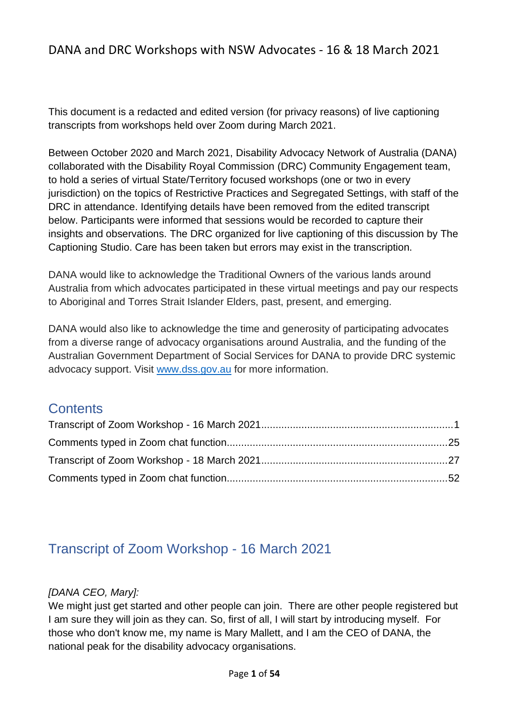This document is a redacted and edited version (for privacy reasons) of live captioning transcripts from workshops held over Zoom during March 2021.

Between October 2020 and March 2021, Disability Advocacy Network of Australia (DANA) collaborated with the Disability Royal Commission (DRC) Community Engagement team, to hold a series of virtual State/Territory focused workshops (one or two in every jurisdiction) on the topics of Restrictive Practices and Segregated Settings, with staff of the DRC in attendance. Identifying details have been removed from the edited transcript below. Participants were informed that sessions would be recorded to capture their insights and observations. The DRC organized for live captioning of this discussion by The Captioning Studio. Care has been taken but errors may exist in the transcription.

DANA would like to acknowledge the Traditional Owners of the various lands around Australia from which advocates participated in these virtual meetings and pay our respects to Aboriginal and Torres Strait Islander Elders, past, present, and emerging.

DANA would also like to acknowledge the time and generosity of participating advocates from a diverse range of advocacy organisations around Australia, and the funding of the Australian Government Department of Social Services for DANA to provide DRC systemic advocacy support. Visit [www.dss.gov.au](https://www.dss.gov.au/disability-and-carers/disability-counselling-and-advocacy-support) for more information.

## **Contents**

# <span id="page-0-0"></span>Transcript of Zoom Workshop - 16 March 2021

## *[DANA CEO, Mary]:*

We might just get started and other people can join. There are other people registered but I am sure they will join as they can. So, first of all, I will start by introducing myself. For those who don't know me, my name is Mary Mallett, and I am the CEO of DANA, the national peak for the disability advocacy organisations.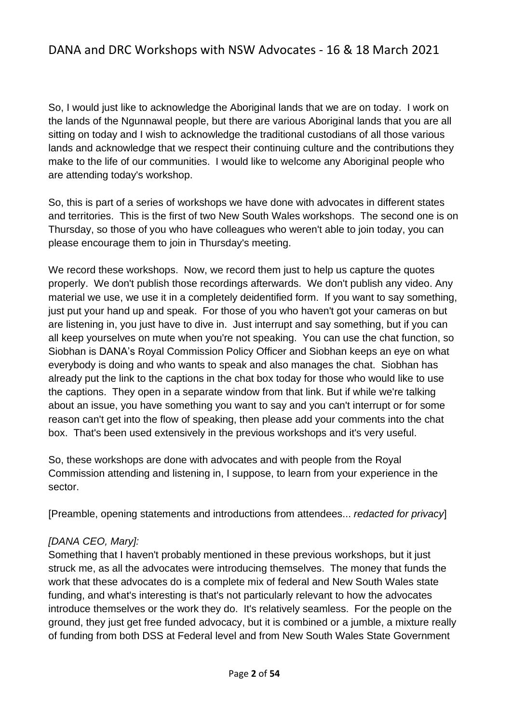So, I would just like to acknowledge the Aboriginal lands that we are on today. I work on the lands of the Ngunnawal people, but there are various Aboriginal lands that you are all sitting on today and I wish to acknowledge the traditional custodians of all those various lands and acknowledge that we respect their continuing culture and the contributions they make to the life of our communities. I would like to welcome any Aboriginal people who are attending today's workshop.

So, this is part of a series of workshops we have done with advocates in different states and territories. This is the first of two New South Wales workshops. The second one is on Thursday, so those of you who have colleagues who weren't able to join today, you can please encourage them to join in Thursday's meeting.

We record these workshops. Now, we record them just to help us capture the quotes properly. We don't publish those recordings afterwards. We don't publish any video. Any material we use, we use it in a completely deidentified form. If you want to say something, just put your hand up and speak. For those of you who haven't got your cameras on but are listening in, you just have to dive in. Just interrupt and say something, but if you can all keep yourselves on mute when you're not speaking. You can use the chat function, so Siobhan is DANA's Royal Commission Policy Officer and Siobhan keeps an eye on what everybody is doing and who wants to speak and also manages the chat. Siobhan has already put the link to the captions in the chat box today for those who would like to use the captions. They open in a separate window from that link. But if while we're talking about an issue, you have something you want to say and you can't interrupt or for some reason can't get into the flow of speaking, then please add your comments into the chat box. That's been used extensively in the previous workshops and it's very useful.

So, these workshops are done with advocates and with people from the Royal Commission attending and listening in, I suppose, to learn from your experience in the sector.

[Preamble, opening statements and introductions from attendees... *redacted for privacy*]

#### *[DANA CEO, Mary]:*

Something that I haven't probably mentioned in these previous workshops, but it just struck me, as all the advocates were introducing themselves. The money that funds the work that these advocates do is a complete mix of federal and New South Wales state funding, and what's interesting is that's not particularly relevant to how the advocates introduce themselves or the work they do. It's relatively seamless. For the people on the ground, they just get free funded advocacy, but it is combined or a jumble, a mixture really of funding from both DSS at Federal level and from New South Wales State Government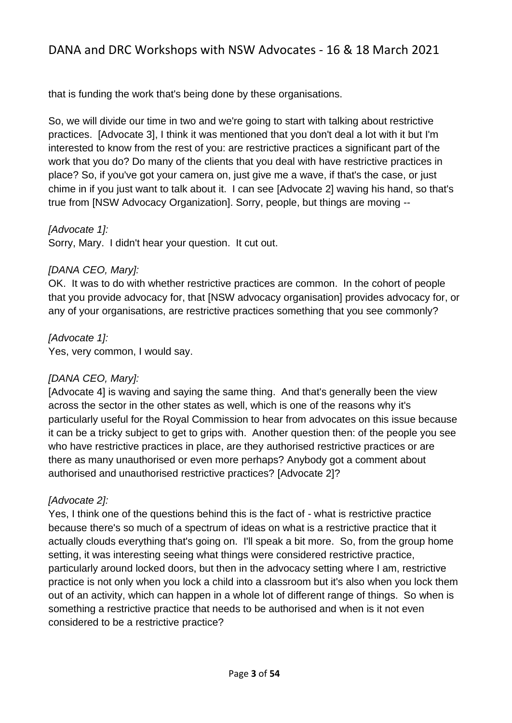that is funding the work that's being done by these organisations.

So, we will divide our time in two and we're going to start with talking about restrictive practices. [Advocate 3], I think it was mentioned that you don't deal a lot with it but I'm interested to know from the rest of you: are restrictive practices a significant part of the work that you do? Do many of the clients that you deal with have restrictive practices in place? So, if you've got your camera on, just give me a wave, if that's the case, or just chime in if you just want to talk about it. I can see [Advocate 2] waving his hand, so that's true from [NSW Advocacy Organization]. Sorry, people, but things are moving --

#### *[Advocate 1]:*

Sorry, Mary. I didn't hear your question. It cut out.

#### *[DANA CEO, Mary]:*

OK. It was to do with whether restrictive practices are common. In the cohort of people that you provide advocacy for, that [NSW advocacy organisation] provides advocacy for, or any of your organisations, are restrictive practices something that you see commonly?

#### *[Advocate 1]:*

Yes, very common, I would say.

## *[DANA CEO, Mary]:*

[Advocate 4] is waving and saying the same thing. And that's generally been the view across the sector in the other states as well, which is one of the reasons why it's particularly useful for the Royal Commission to hear from advocates on this issue because it can be a tricky subject to get to grips with. Another question then: of the people you see who have restrictive practices in place, are they authorised restrictive practices or are there as many unauthorised or even more perhaps? Anybody got a comment about authorised and unauthorised restrictive practices? [Advocate 2]?

#### *[Advocate 2]:*

Yes, I think one of the questions behind this is the fact of - what is restrictive practice because there's so much of a spectrum of ideas on what is a restrictive practice that it actually clouds everything that's going on. I'll speak a bit more. So, from the group home setting, it was interesting seeing what things were considered restrictive practice, particularly around locked doors, but then in the advocacy setting where I am, restrictive practice is not only when you lock a child into a classroom but it's also when you lock them out of an activity, which can happen in a whole lot of different range of things. So when is something a restrictive practice that needs to be authorised and when is it not even considered to be a restrictive practice?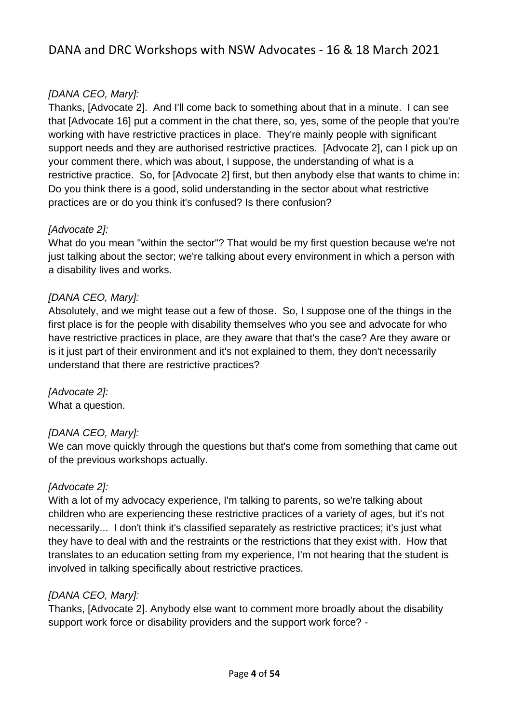## *[DANA CEO, Mary]:*

Thanks, [Advocate 2]. And I'll come back to something about that in a minute. I can see that [Advocate 16] put a comment in the chat there, so, yes, some of the people that you're working with have restrictive practices in place. They're mainly people with significant support needs and they are authorised restrictive practices. [Advocate 2], can I pick up on your comment there, which was about, I suppose, the understanding of what is a restrictive practice. So, for [Advocate 2] first, but then anybody else that wants to chime in: Do you think there is a good, solid understanding in the sector about what restrictive practices are or do you think it's confused? Is there confusion?

## *[Advocate 2]:*

What do you mean "within the sector"? That would be my first question because we're not just talking about the sector; we're talking about every environment in which a person with a disability lives and works.

## *[DANA CEO, Mary]:*

Absolutely, and we might tease out a few of those. So, I suppose one of the things in the first place is for the people with disability themselves who you see and advocate for who have restrictive practices in place, are they aware that that's the case? Are they aware or is it just part of their environment and it's not explained to them, they don't necessarily understand that there are restrictive practices?

*[Advocate 2]:*  What a question.

## *[DANA CEO, Mary]:*

We can move quickly through the questions but that's come from something that came out of the previous workshops actually.

#### *[Advocate 2]:*

With a lot of my advocacy experience, I'm talking to parents, so we're talking about children who are experiencing these restrictive practices of a variety of ages, but it's not necessarily... I don't think it's classified separately as restrictive practices; it's just what they have to deal with and the restraints or the restrictions that they exist with. How that translates to an education setting from my experience, I'm not hearing that the student is involved in talking specifically about restrictive practices.

#### *[DANA CEO, Mary]:*

Thanks, [Advocate 2]. Anybody else want to comment more broadly about the disability support work force or disability providers and the support work force? -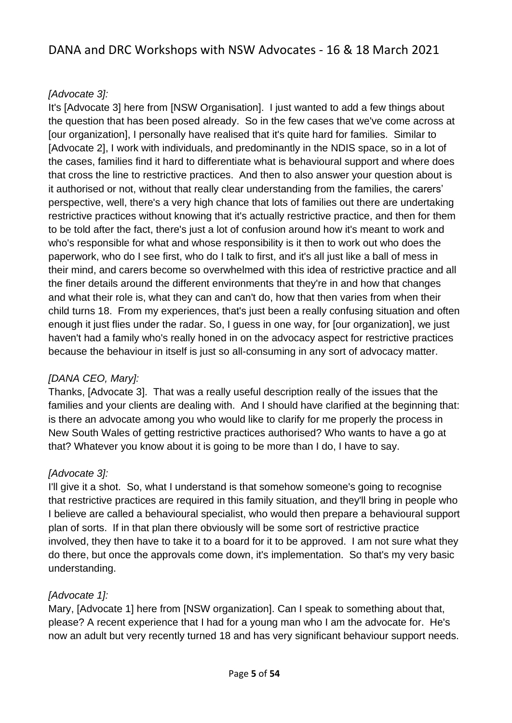### *[Advocate 3]:*

It's [Advocate 3] here from [NSW Organisation]. I just wanted to add a few things about the question that has been posed already. So in the few cases that we've come across at [our organization], I personally have realised that it's quite hard for families. Similar to [Advocate 2], I work with individuals, and predominantly in the NDIS space, so in a lot of the cases, families find it hard to differentiate what is behavioural support and where does that cross the line to restrictive practices. And then to also answer your question about is it authorised or not, without that really clear understanding from the families, the carers' perspective, well, there's a very high chance that lots of families out there are undertaking restrictive practices without knowing that it's actually restrictive practice, and then for them to be told after the fact, there's just a lot of confusion around how it's meant to work and who's responsible for what and whose responsibility is it then to work out who does the paperwork, who do I see first, who do I talk to first, and it's all just like a ball of mess in their mind, and carers become so overwhelmed with this idea of restrictive practice and all the finer details around the different environments that they're in and how that changes and what their role is, what they can and can't do, how that then varies from when their child turns 18. From my experiences, that's just been a really confusing situation and often enough it just flies under the radar. So, I guess in one way, for [our organization], we just haven't had a family who's really honed in on the advocacy aspect for restrictive practices because the behaviour in itself is just so all-consuming in any sort of advocacy matter.

## *[DANA CEO, Mary]:*

Thanks, [Advocate 3]. That was a really useful description really of the issues that the families and your clients are dealing with. And I should have clarified at the beginning that: is there an advocate among you who would like to clarify for me properly the process in New South Wales of getting restrictive practices authorised? Who wants to have a go at that? Whatever you know about it is going to be more than I do, I have to say.

## *[Advocate 3]:*

I'll give it a shot. So, what I understand is that somehow someone's going to recognise that restrictive practices are required in this family situation, and they'll bring in people who I believe are called a behavioural specialist, who would then prepare a behavioural support plan of sorts. If in that plan there obviously will be some sort of restrictive practice involved, they then have to take it to a board for it to be approved. I am not sure what they do there, but once the approvals come down, it's implementation. So that's my very basic understanding.

#### *[Advocate 1]:*

Mary, [Advocate 1] here from [NSW organization]. Can I speak to something about that, please? A recent experience that I had for a young man who I am the advocate for. He's now an adult but very recently turned 18 and has very significant behaviour support needs.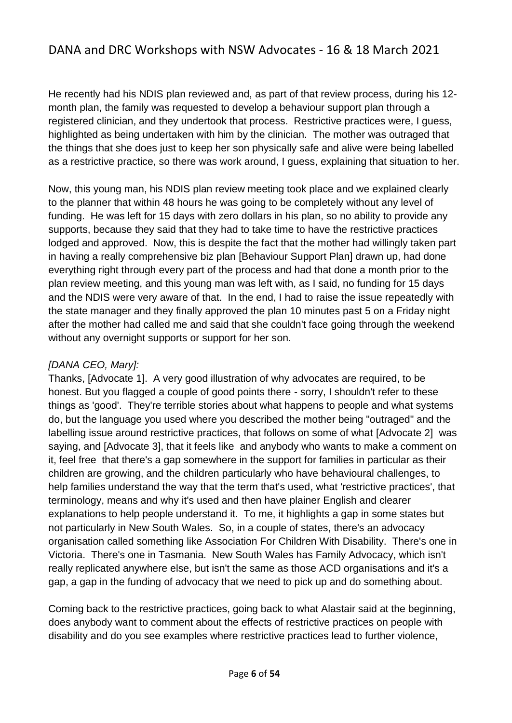He recently had his NDIS plan reviewed and, as part of that review process, during his 12 month plan, the family was requested to develop a behaviour support plan through a registered clinician, and they undertook that process. Restrictive practices were, I guess, highlighted as being undertaken with him by the clinician. The mother was outraged that the things that she does just to keep her son physically safe and alive were being labelled as a restrictive practice, so there was work around, I guess, explaining that situation to her.

Now, this young man, his NDIS plan review meeting took place and we explained clearly to the planner that within 48 hours he was going to be completely without any level of funding. He was left for 15 days with zero dollars in his plan, so no ability to provide any supports, because they said that they had to take time to have the restrictive practices lodged and approved. Now, this is despite the fact that the mother had willingly taken part in having a really comprehensive biz plan [Behaviour Support Plan] drawn up, had done everything right through every part of the process and had that done a month prior to the plan review meeting, and this young man was left with, as I said, no funding for 15 days and the NDIS were very aware of that. In the end, I had to raise the issue repeatedly with the state manager and they finally approved the plan 10 minutes past 5 on a Friday night after the mother had called me and said that she couldn't face going through the weekend without any overnight supports or support for her son.

#### *[DANA CEO, Mary]:*

Thanks, [Advocate 1]. A very good illustration of why advocates are required, to be honest. But you flagged a couple of good points there - sorry, I shouldn't refer to these things as 'good'. They're terrible stories about what happens to people and what systems do, but the language you used where you described the mother being "outraged" and the labelling issue around restrictive practices, that follows on some of what [Advocate 2] was saying, and [Advocate 3], that it feels like and anybody who wants to make a comment on it, feel free that there's a gap somewhere in the support for families in particular as their children are growing, and the children particularly who have behavioural challenges, to help families understand the way that the term that's used, what 'restrictive practices', that terminology, means and why it's used and then have plainer English and clearer explanations to help people understand it. To me, it highlights a gap in some states but not particularly in New South Wales. So, in a couple of states, there's an advocacy organisation called something like Association For Children With Disability. There's one in Victoria. There's one in Tasmania. New South Wales has Family Advocacy, which isn't really replicated anywhere else, but isn't the same as those ACD organisations and it's a gap, a gap in the funding of advocacy that we need to pick up and do something about.

Coming back to the restrictive practices, going back to what Alastair said at the beginning, does anybody want to comment about the effects of restrictive practices on people with disability and do you see examples where restrictive practices lead to further violence,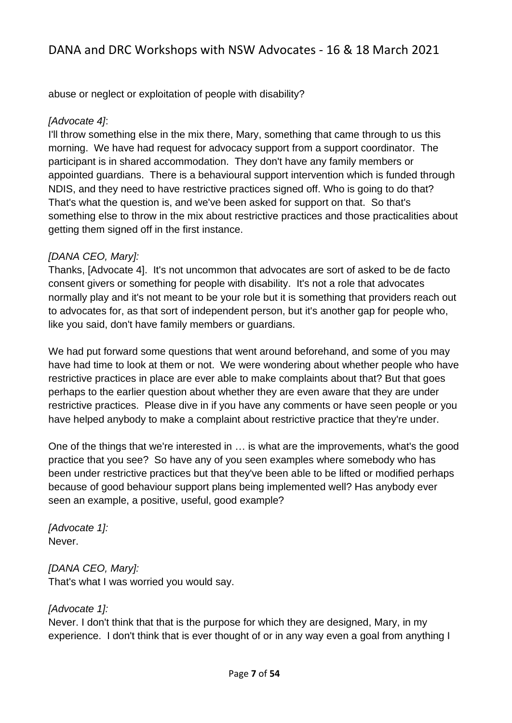abuse or neglect or exploitation of people with disability?

#### *[Advocate 4]*:

I'll throw something else in the mix there, Mary, something that came through to us this morning. We have had request for advocacy support from a support coordinator. The participant is in shared accommodation. They don't have any family members or appointed guardians. There is a behavioural support intervention which is funded through NDIS, and they need to have restrictive practices signed off. Who is going to do that? That's what the question is, and we've been asked for support on that. So that's something else to throw in the mix about restrictive practices and those practicalities about getting them signed off in the first instance.

### *[DANA CEO, Mary]:*

Thanks, [Advocate 4]. It's not uncommon that advocates are sort of asked to be de facto consent givers or something for people with disability. It's not a role that advocates normally play and it's not meant to be your role but it is something that providers reach out to advocates for, as that sort of independent person, but it's another gap for people who, like you said, don't have family members or guardians.

We had put forward some questions that went around beforehand, and some of you may have had time to look at them or not. We were wondering about whether people who have restrictive practices in place are ever able to make complaints about that? But that goes perhaps to the earlier question about whether they are even aware that they are under restrictive practices. Please dive in if you have any comments or have seen people or you have helped anybody to make a complaint about restrictive practice that they're under.

One of the things that we're interested in … is what are the improvements, what's the good practice that you see? So have any of you seen examples where somebody who has been under restrictive practices but that they've been able to be lifted or modified perhaps because of good behaviour support plans being implemented well? Has anybody ever seen an example, a positive, useful, good example?

*[Advocate 1]:*  Never.

## *[DANA CEO, Mary]:*

That's what I was worried you would say.

## *[Advocate 1]:*

Never. I don't think that that is the purpose for which they are designed, Mary, in my experience. I don't think that is ever thought of or in any way even a goal from anything I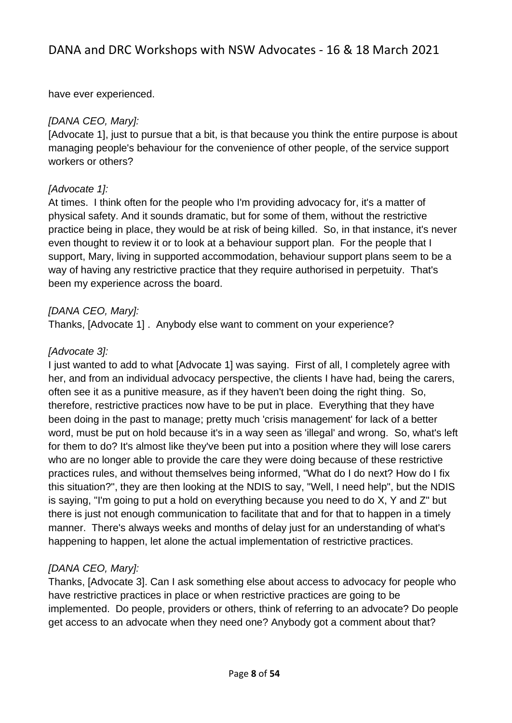have ever experienced.

### *[DANA CEO, Mary]:*

[Advocate 1], just to pursue that a bit, is that because you think the entire purpose is about managing people's behaviour for the convenience of other people, of the service support workers or others?

## *[Advocate 1]:*

At times. I think often for the people who I'm providing advocacy for, it's a matter of physical safety. And it sounds dramatic, but for some of them, without the restrictive practice being in place, they would be at risk of being killed. So, in that instance, it's never even thought to review it or to look at a behaviour support plan. For the people that I support, Mary, living in supported accommodation, behaviour support plans seem to be a way of having any restrictive practice that they require authorised in perpetuity. That's been my experience across the board.

### *[DANA CEO, Mary]:*

Thanks, [Advocate 1] . Anybody else want to comment on your experience?

## *[Advocate 3]:*

I just wanted to add to what [Advocate 1] was saying. First of all, I completely agree with her, and from an individual advocacy perspective, the clients I have had, being the carers, often see it as a punitive measure, as if they haven't been doing the right thing. So, therefore, restrictive practices now have to be put in place. Everything that they have been doing in the past to manage; pretty much 'crisis management' for lack of a better word, must be put on hold because it's in a way seen as 'illegal' and wrong. So, what's left for them to do? It's almost like they've been put into a position where they will lose carers who are no longer able to provide the care they were doing because of these restrictive practices rules, and without themselves being informed, "What do I do next? How do I fix this situation?", they are then looking at the NDIS to say, "Well, I need help", but the NDIS is saying, "I'm going to put a hold on everything because you need to do X, Y and Z" but there is just not enough communication to facilitate that and for that to happen in a timely manner. There's always weeks and months of delay just for an understanding of what's happening to happen, let alone the actual implementation of restrictive practices.

## *[DANA CEO, Mary]:*

Thanks, [Advocate 3]. Can I ask something else about access to advocacy for people who have restrictive practices in place or when restrictive practices are going to be implemented. Do people, providers or others, think of referring to an advocate? Do people get access to an advocate when they need one? Anybody got a comment about that?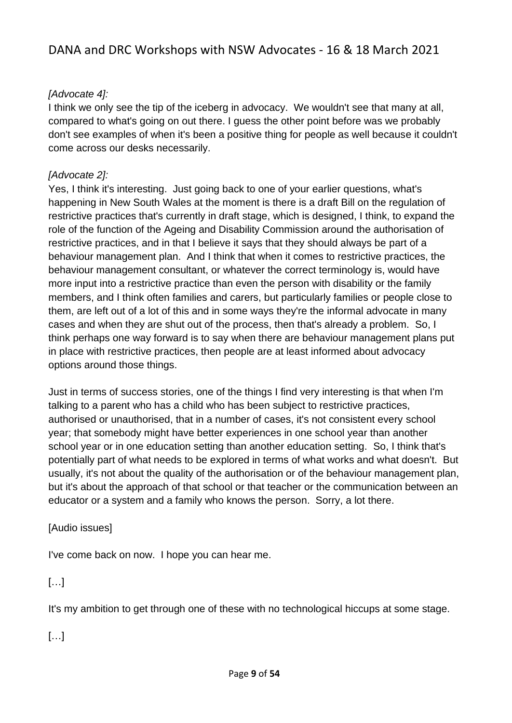## *[Advocate 4]:*

I think we only see the tip of the iceberg in advocacy. We wouldn't see that many at all, compared to what's going on out there. I guess the other point before was we probably don't see examples of when it's been a positive thing for people as well because it couldn't come across our desks necessarily.

## *[Advocate 2]:*

Yes, I think it's interesting. Just going back to one of your earlier questions, what's happening in New South Wales at the moment is there is a draft Bill on the regulation of restrictive practices that's currently in draft stage, which is designed, I think, to expand the role of the function of the Ageing and Disability Commission around the authorisation of restrictive practices, and in that I believe it says that they should always be part of a behaviour management plan. And I think that when it comes to restrictive practices, the behaviour management consultant, or whatever the correct terminology is, would have more input into a restrictive practice than even the person with disability or the family members, and I think often families and carers, but particularly families or people close to them, are left out of a lot of this and in some ways they're the informal advocate in many cases and when they are shut out of the process, then that's already a problem. So, I think perhaps one way forward is to say when there are behaviour management plans put in place with restrictive practices, then people are at least informed about advocacy options around those things.

Just in terms of success stories, one of the things I find very interesting is that when I'm talking to a parent who has a child who has been subject to restrictive practices, authorised or unauthorised, that in a number of cases, it's not consistent every school year; that somebody might have better experiences in one school year than another school year or in one education setting than another education setting. So, I think that's potentially part of what needs to be explored in terms of what works and what doesn't. But usually, it's not about the quality of the authorisation or of the behaviour management plan, but it's about the approach of that school or that teacher or the communication between an educator or a system and a family who knows the person. Sorry, a lot there.

## [Audio issues]

I've come back on now. I hope you can hear me.

## […]

It's my ambition to get through one of these with no technological hiccups at some stage.

[…]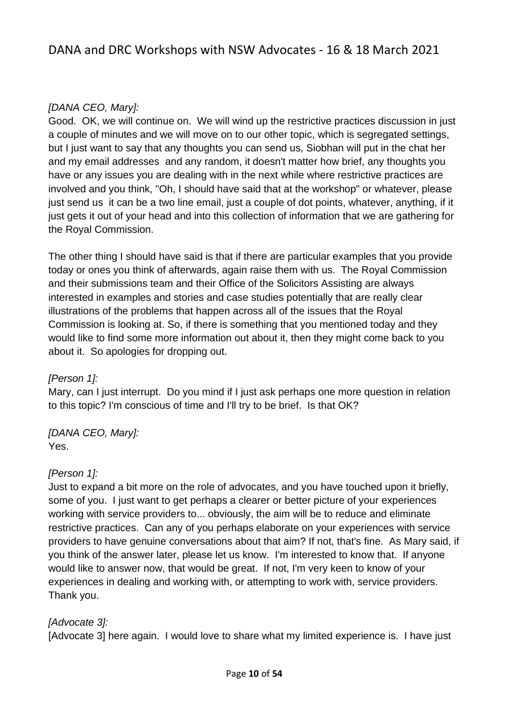### *[DANA CEO, Mary]:*

Good. OK, we will continue on. We will wind up the restrictive practices discussion in just a couple of minutes and we will move on to our other topic, which is segregated settings, but I just want to say that any thoughts you can send us, Siobhan will put in the chat her and my email addresses and any random, it doesn't matter how brief, any thoughts you have or any issues you are dealing with in the next while where restrictive practices are involved and you think, "Oh, I should have said that at the workshop" or whatever, please just send us it can be a two line email, just a couple of dot points, whatever, anything, if it just gets it out of your head and into this collection of information that we are gathering for the Royal Commission.

The other thing I should have said is that if there are particular examples that you provide today or ones you think of afterwards, again raise them with us. The Royal Commission and their submissions team and their Office of the Solicitors Assisting are always interested in examples and stories and case studies potentially that are really clear illustrations of the problems that happen across all of the issues that the Royal Commission is looking at. So, if there is something that you mentioned today and they would like to find some more information out about it, then they might come back to you about it. So apologies for dropping out.

#### *[Person 1]:*

Mary, can I just interrupt. Do you mind if I just ask perhaps one more question in relation to this topic? I'm conscious of time and I'll try to be brief. Is that OK?

#### *[DANA CEO, Mary]:* Yes.

#### *[Person 1]:*

Just to expand a bit more on the role of advocates, and you have touched upon it briefly, some of you. I just want to get perhaps a clearer or better picture of your experiences working with service providers to... obviously, the aim will be to reduce and eliminate restrictive practices. Can any of you perhaps elaborate on your experiences with service providers to have genuine conversations about that aim? If not, that's fine. As Mary said, if you think of the answer later, please let us know. I'm interested to know that. If anyone would like to answer now, that would be great. If not, I'm very keen to know of your experiences in dealing and working with, or attempting to work with, service providers. Thank you.

#### *[Advocate 3]:*

[Advocate 3] here again. I would love to share what my limited experience is. I have just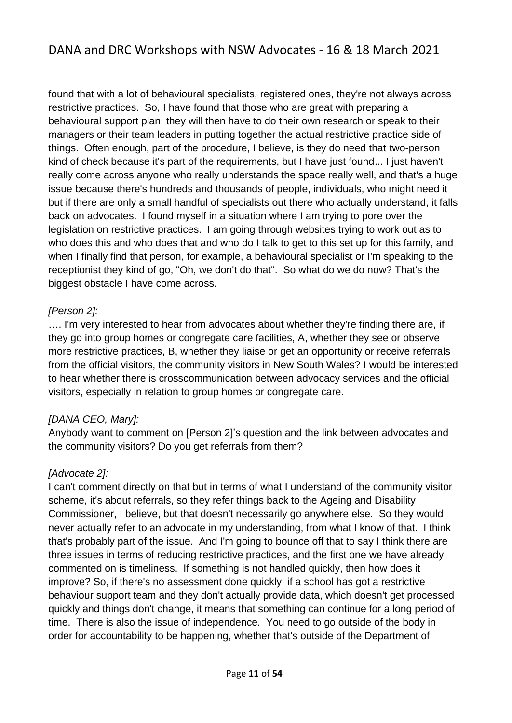found that with a lot of behavioural specialists, registered ones, they're not always across restrictive practices. So, I have found that those who are great with preparing a behavioural support plan, they will then have to do their own research or speak to their managers or their team leaders in putting together the actual restrictive practice side of things. Often enough, part of the procedure, I believe, is they do need that two-person kind of check because it's part of the requirements, but I have just found... I just haven't really come across anyone who really understands the space really well, and that's a huge issue because there's hundreds and thousands of people, individuals, who might need it but if there are only a small handful of specialists out there who actually understand, it falls back on advocates. I found myself in a situation where I am trying to pore over the legislation on restrictive practices. I am going through websites trying to work out as to who does this and who does that and who do I talk to get to this set up for this family, and when I finally find that person, for example, a behavioural specialist or I'm speaking to the receptionist they kind of go, "Oh, we don't do that". So what do we do now? That's the biggest obstacle I have come across.

#### *[Person 2]:*

…. I'm very interested to hear from advocates about whether they're finding there are, if they go into group homes or congregate care facilities, A, whether they see or observe more restrictive practices, B, whether they liaise or get an opportunity or receive referrals from the official visitors, the community visitors in New South Wales? I would be interested to hear whether there is crosscommunication between advocacy services and the official visitors, especially in relation to group homes or congregate care.

#### *[DANA CEO, Mary]:*

Anybody want to comment on [Person 2]'s question and the link between advocates and the community visitors? Do you get referrals from them?

## *[Advocate 2]:*

I can't comment directly on that but in terms of what I understand of the community visitor scheme, it's about referrals, so they refer things back to the Ageing and Disability Commissioner, I believe, but that doesn't necessarily go anywhere else. So they would never actually refer to an advocate in my understanding, from what I know of that. I think that's probably part of the issue. And I'm going to bounce off that to say I think there are three issues in terms of reducing restrictive practices, and the first one we have already commented on is timeliness. If something is not handled quickly, then how does it improve? So, if there's no assessment done quickly, if a school has got a restrictive behaviour support team and they don't actually provide data, which doesn't get processed quickly and things don't change, it means that something can continue for a long period of time. There is also the issue of independence. You need to go outside of the body in order for accountability to be happening, whether that's outside of the Department of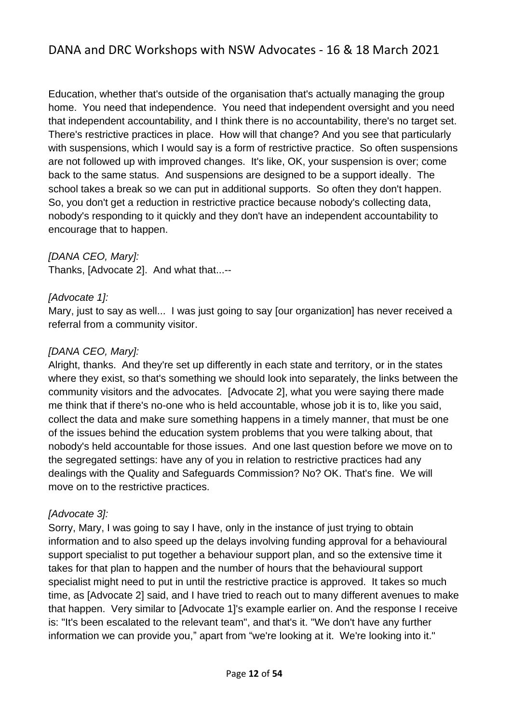Education, whether that's outside of the organisation that's actually managing the group home. You need that independence. You need that independent oversight and you need that independent accountability, and I think there is no accountability, there's no target set. There's restrictive practices in place. How will that change? And you see that particularly with suspensions, which I would say is a form of restrictive practice. So often suspensions are not followed up with improved changes. It's like, OK, your suspension is over; come back to the same status. And suspensions are designed to be a support ideally. The school takes a break so we can put in additional supports. So often they don't happen. So, you don't get a reduction in restrictive practice because nobody's collecting data, nobody's responding to it quickly and they don't have an independent accountability to encourage that to happen.

*[DANA CEO, Mary]:*

Thanks, [Advocate 2]. And what that...--

### *[Advocate 1]:*

Mary, just to say as well... I was just going to say [our organization] has never received a referral from a community visitor.

### *[DANA CEO, Mary]:*

Alright, thanks. And they're set up differently in each state and territory, or in the states where they exist, so that's something we should look into separately, the links between the community visitors and the advocates. [Advocate 2], what you were saying there made me think that if there's no-one who is held accountable, whose job it is to, like you said, collect the data and make sure something happens in a timely manner, that must be one of the issues behind the education system problems that you were talking about, that nobody's held accountable for those issues. And one last question before we move on to the segregated settings: have any of you in relation to restrictive practices had any dealings with the Quality and Safeguards Commission? No? OK. That's fine. We will move on to the restrictive practices.

#### *[Advocate 3]:*

Sorry, Mary, I was going to say I have, only in the instance of just trying to obtain information and to also speed up the delays involving funding approval for a behavioural support specialist to put together a behaviour support plan, and so the extensive time it takes for that plan to happen and the number of hours that the behavioural support specialist might need to put in until the restrictive practice is approved. It takes so much time, as [Advocate 2] said, and I have tried to reach out to many different avenues to make that happen. Very similar to [Advocate 1]'s example earlier on. And the response I receive is: "It's been escalated to the relevant team", and that's it. "We don't have any further information we can provide you," apart from "we're looking at it. We're looking into it."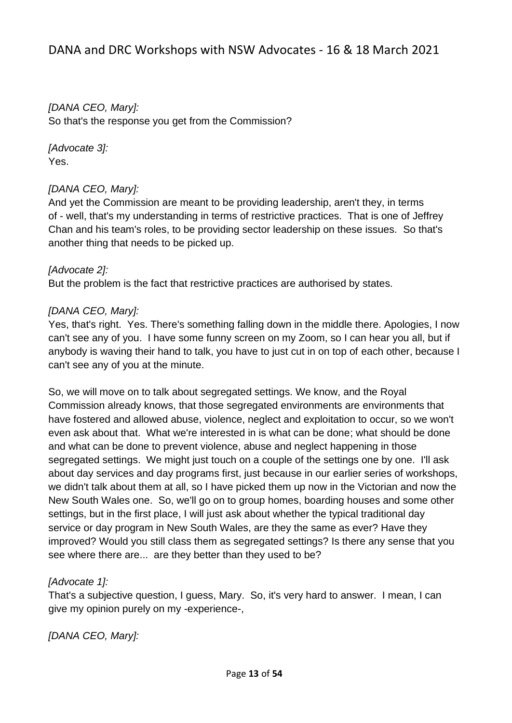*[DANA CEO, Mary]:* So that's the response you get from the Commission?

*[Advocate 3]:*  Yes.

#### *[DANA CEO, Mary]:*

And yet the Commission are meant to be providing leadership, aren't they, in terms of - well, that's my understanding in terms of restrictive practices. That is one of Jeffrey Chan and his team's roles, to be providing sector leadership on these issues. So that's another thing that needs to be picked up.

#### *[Advocate 2]:*

But the problem is the fact that restrictive practices are authorised by states.

#### *[DANA CEO, Mary]:*

Yes, that's right. Yes. There's something falling down in the middle there. Apologies, I now can't see any of you. I have some funny screen on my Zoom, so I can hear you all, but if anybody is waving their hand to talk, you have to just cut in on top of each other, because I can't see any of you at the minute.

So, we will move on to talk about segregated settings. We know, and the Royal Commission already knows, that those segregated environments are environments that have fostered and allowed abuse, violence, neglect and exploitation to occur, so we won't even ask about that. What we're interested in is what can be done; what should be done and what can be done to prevent violence, abuse and neglect happening in those segregated settings. We might just touch on a couple of the settings one by one. I'll ask about day services and day programs first, just because in our earlier series of workshops, we didn't talk about them at all, so I have picked them up now in the Victorian and now the New South Wales one. So, we'll go on to group homes, boarding houses and some other settings, but in the first place, I will just ask about whether the typical traditional day service or day program in New South Wales, are they the same as ever? Have they improved? Would you still class them as segregated settings? Is there any sense that you see where there are... are they better than they used to be?

#### *[Advocate 1]:*

That's a subjective question, I guess, Mary. So, it's very hard to answer. I mean, I can give my opinion purely on my -experience-,

*[DANA CEO, Mary]:*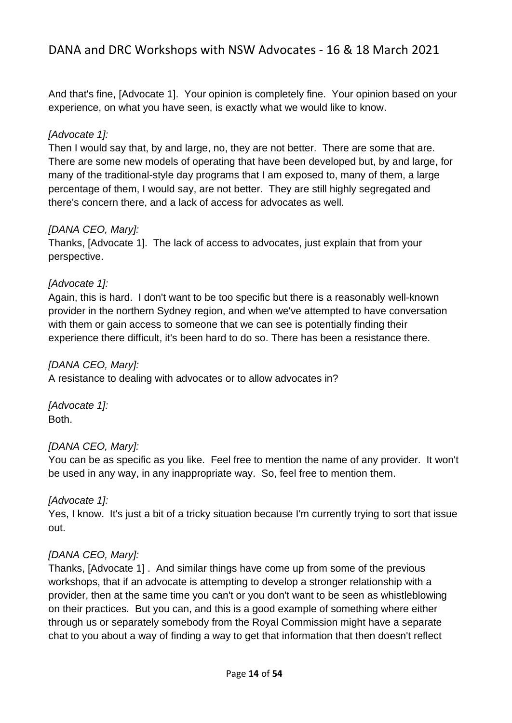And that's fine, [Advocate 1]. Your opinion is completely fine. Your opinion based on your experience, on what you have seen, is exactly what we would like to know.

## *[Advocate 1]:*

Then I would say that, by and large, no, they are not better. There are some that are. There are some new models of operating that have been developed but, by and large, for many of the traditional-style day programs that I am exposed to, many of them, a large percentage of them, I would say, are not better. They are still highly segregated and there's concern there, and a lack of access for advocates as well.

## *[DANA CEO, Mary]:*

Thanks, [Advocate 1]. The lack of access to advocates, just explain that from your perspective.

### *[Advocate 1]:*

Again, this is hard. I don't want to be too specific but there is a reasonably well-known provider in the northern Sydney region, and when we've attempted to have conversation with them or gain access to someone that we can see is potentially finding their experience there difficult, it's been hard to do so. There has been a resistance there.

#### *[DANA CEO, Mary]:*

A resistance to dealing with advocates or to allow advocates in?

*[Advocate 1]:*  Both.

#### *[DANA CEO, Mary]:*

You can be as specific as you like. Feel free to mention the name of any provider. It won't be used in any way, in any inappropriate way. So, feel free to mention them.

## *[Advocate 1]:*

Yes, I know. It's just a bit of a tricky situation because I'm currently trying to sort that issue out.

## *[DANA CEO, Mary]:*

Thanks, [Advocate 1] . And similar things have come up from some of the previous workshops, that if an advocate is attempting to develop a stronger relationship with a provider, then at the same time you can't or you don't want to be seen as whistleblowing on their practices. But you can, and this is a good example of something where either through us or separately somebody from the Royal Commission might have a separate chat to you about a way of finding a way to get that information that then doesn't reflect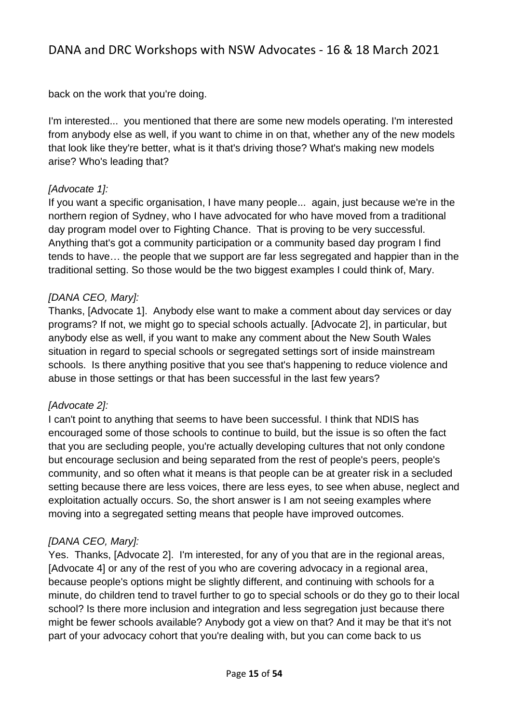back on the work that you're doing.

I'm interested... you mentioned that there are some new models operating. I'm interested from anybody else as well, if you want to chime in on that, whether any of the new models that look like they're better, what is it that's driving those? What's making new models arise? Who's leading that?

### *[Advocate 1]:*

If you want a specific organisation, I have many people... again, just because we're in the northern region of Sydney, who I have advocated for who have moved from a traditional day program model over to Fighting Chance. That is proving to be very successful. Anything that's got a community participation or a community based day program I find tends to have… the people that we support are far less segregated and happier than in the traditional setting. So those would be the two biggest examples I could think of, Mary.

## *[DANA CEO, Mary]:*

Thanks, [Advocate 1]. Anybody else want to make a comment about day services or day programs? If not, we might go to special schools actually. [Advocate 2], in particular, but anybody else as well, if you want to make any comment about the New South Wales situation in regard to special schools or segregated settings sort of inside mainstream schools. Is there anything positive that you see that's happening to reduce violence and abuse in those settings or that has been successful in the last few years?

#### *[Advocate 2]:*

I can't point to anything that seems to have been successful. I think that NDIS has encouraged some of those schools to continue to build, but the issue is so often the fact that you are secluding people, you're actually developing cultures that not only condone but encourage seclusion and being separated from the rest of people's peers, people's community, and so often what it means is that people can be at greater risk in a secluded setting because there are less voices, there are less eyes, to see when abuse, neglect and exploitation actually occurs. So, the short answer is I am not seeing examples where moving into a segregated setting means that people have improved outcomes.

## *[DANA CEO, Mary]:*

Yes. Thanks, [Advocate 2]. I'm interested, for any of you that are in the regional areas, [Advocate 4] or any of the rest of you who are covering advocacy in a regional area, because people's options might be slightly different, and continuing with schools for a minute, do children tend to travel further to go to special schools or do they go to their local school? Is there more inclusion and integration and less segregation just because there might be fewer schools available? Anybody got a view on that? And it may be that it's not part of your advocacy cohort that you're dealing with, but you can come back to us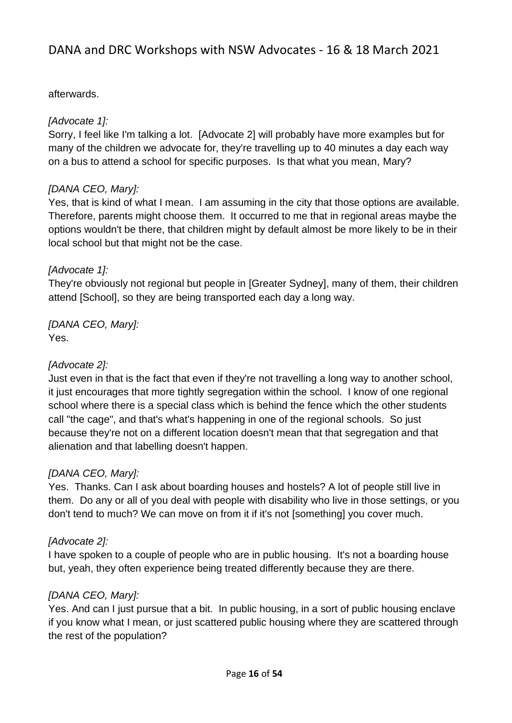### afterwards.

### *[Advocate 1]:*

Sorry, I feel like I'm talking a lot. [Advocate 2] will probably have more examples but for many of the children we advocate for, they're travelling up to 40 minutes a day each way on a bus to attend a school for specific purposes. Is that what you mean, Mary?

### *[DANA CEO, Mary]:*

Yes, that is kind of what I mean. I am assuming in the city that those options are available. Therefore, parents might choose them. It occurred to me that in regional areas maybe the options wouldn't be there, that children might by default almost be more likely to be in their local school but that might not be the case.

### *[Advocate 1]:*

They're obviously not regional but people in [Greater Sydney], many of them, their children attend [School], so they are being transported each day a long way.

*[DANA CEO, Mary]:* Yes.

### *[Advocate 2]:*

Just even in that is the fact that even if they're not travelling a long way to another school, it just encourages that more tightly segregation within the school. I know of one regional school where there is a special class which is behind the fence which the other students call "the cage", and that's what's happening in one of the regional schools. So just because they're not on a different location doesn't mean that that segregation and that alienation and that labelling doesn't happen.

## *[DANA CEO, Mary]:*

Yes. Thanks. Can I ask about boarding houses and hostels? A lot of people still live in them. Do any or all of you deal with people with disability who live in those settings, or you don't tend to much? We can move on from it if it's not [something] you cover much.

## *[Advocate 2]:*

I have spoken to a couple of people who are in public housing. It's not a boarding house but, yeah, they often experience being treated differently because they are there.

## *[DANA CEO, Mary]:*

Yes. And can I just pursue that a bit. In public housing, in a sort of public housing enclave if you know what I mean, or just scattered public housing where they are scattered through the rest of the population?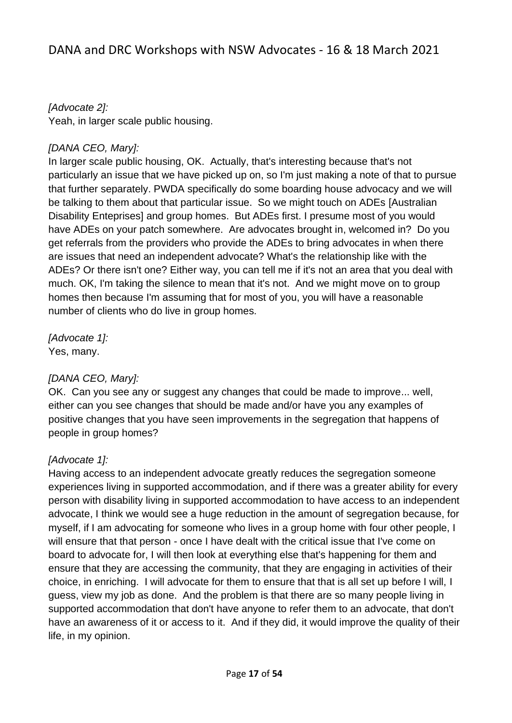*[Advocate 2]:*  Yeah, in larger scale public housing.

### *[DANA CEO, Mary]:*

In larger scale public housing, OK. Actually, that's interesting because that's not particularly an issue that we have picked up on, so I'm just making a note of that to pursue that further separately. PWDA specifically do some boarding house advocacy and we will be talking to them about that particular issue. So we might touch on ADEs [Australian Disability Enteprises] and group homes. But ADEs first. I presume most of you would have ADEs on your patch somewhere. Are advocates brought in, welcomed in? Do you get referrals from the providers who provide the ADEs to bring advocates in when there are issues that need an independent advocate? What's the relationship like with the ADEs? Or there isn't one? Either way, you can tell me if it's not an area that you deal with much. OK, I'm taking the silence to mean that it's not. And we might move on to group homes then because I'm assuming that for most of you, you will have a reasonable number of clients who do live in group homes.

*[Advocate 1]:*  Yes, many.

## *[DANA CEO, Mary]:*

OK. Can you see any or suggest any changes that could be made to improve... well, either can you see changes that should be made and/or have you any examples of positive changes that you have seen improvements in the segregation that happens of people in group homes?

## *[Advocate 1]:*

Having access to an independent advocate greatly reduces the segregation someone experiences living in supported accommodation, and if there was a greater ability for every person with disability living in supported accommodation to have access to an independent advocate, I think we would see a huge reduction in the amount of segregation because, for myself, if I am advocating for someone who lives in a group home with four other people, I will ensure that that person - once I have dealt with the critical issue that I've come on board to advocate for, I will then look at everything else that's happening for them and ensure that they are accessing the community, that they are engaging in activities of their choice, in enriching. I will advocate for them to ensure that that is all set up before I will, I guess, view my job as done. And the problem is that there are so many people living in supported accommodation that don't have anyone to refer them to an advocate, that don't have an awareness of it or access to it. And if they did, it would improve the quality of their life, in my opinion.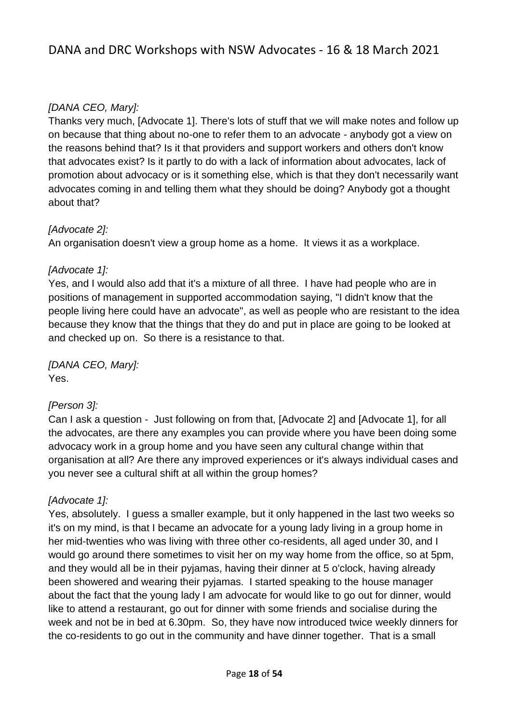## *[DANA CEO, Mary]:*

Thanks very much, [Advocate 1]. There's lots of stuff that we will make notes and follow up on because that thing about no-one to refer them to an advocate - anybody got a view on the reasons behind that? Is it that providers and support workers and others don't know that advocates exist? Is it partly to do with a lack of information about advocates, lack of promotion about advocacy or is it something else, which is that they don't necessarily want advocates coming in and telling them what they should be doing? Anybody got a thought about that?

## *[Advocate 2]:*

An organisation doesn't view a group home as a home. It views it as a workplace.

### *[Advocate 1]:*

Yes, and I would also add that it's a mixture of all three. I have had people who are in positions of management in supported accommodation saying, "I didn't know that the people living here could have an advocate", as well as people who are resistant to the idea because they know that the things that they do and put in place are going to be looked at and checked up on. So there is a resistance to that.

*[DANA CEO, Mary]:* Yes.

#### *[Person 3]:*

Can I ask a question - Just following on from that, [Advocate 2] and [Advocate 1], for all the advocates, are there any examples you can provide where you have been doing some advocacy work in a group home and you have seen any cultural change within that organisation at all? Are there any improved experiences or it's always individual cases and you never see a cultural shift at all within the group homes?

## *[Advocate 1]:*

Yes, absolutely. I guess a smaller example, but it only happened in the last two weeks so it's on my mind, is that I became an advocate for a young lady living in a group home in her mid-twenties who was living with three other co-residents, all aged under 30, and I would go around there sometimes to visit her on my way home from the office, so at 5pm, and they would all be in their pyjamas, having their dinner at 5 o'clock, having already been showered and wearing their pyjamas. I started speaking to the house manager about the fact that the young lady I am advocate for would like to go out for dinner, would like to attend a restaurant, go out for dinner with some friends and socialise during the week and not be in bed at 6.30pm. So, they have now introduced twice weekly dinners for the co-residents to go out in the community and have dinner together. That is a small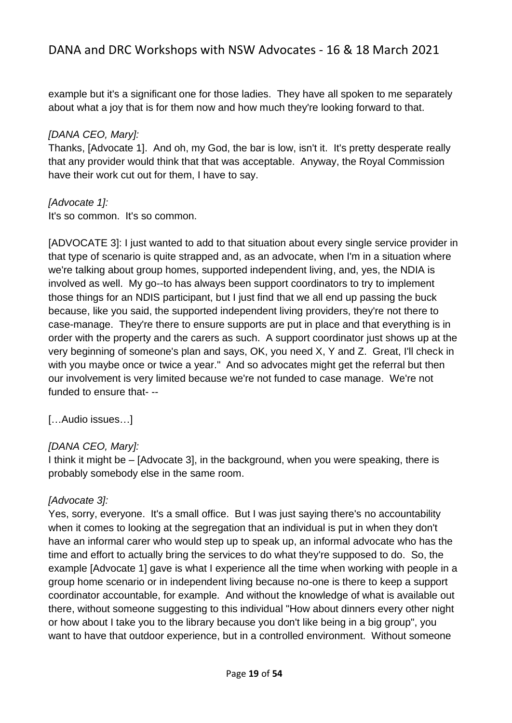example but it's a significant one for those ladies. They have all spoken to me separately about what a joy that is for them now and how much they're looking forward to that.

#### *[DANA CEO, Mary]:*

Thanks, [Advocate 1]. And oh, my God, the bar is low, isn't it. It's pretty desperate really that any provider would think that that was acceptable. Anyway, the Royal Commission have their work cut out for them, I have to say.

#### *[Advocate 1]:*

It's so common. It's so common.

[ADVOCATE 3]: I just wanted to add to that situation about every single service provider in that type of scenario is quite strapped and, as an advocate, when I'm in a situation where we're talking about group homes, supported independent living, and, yes, the NDIA is involved as well. My go--to has always been support coordinators to try to implement those things for an NDIS participant, but I just find that we all end up passing the buck because, like you said, the supported independent living providers, they're not there to case-manage. They're there to ensure supports are put in place and that everything is in order with the property and the carers as such. A support coordinator just shows up at the very beginning of someone's plan and says, OK, you need X, Y and Z. Great, I'll check in with you maybe once or twice a year." And so advocates might get the referral but then our involvement is very limited because we're not funded to case manage. We're not funded to ensure that- --

[…Audio issues…]

## *[DANA CEO, Mary]:*

I think it might be – [Advocate 3], in the background, when you were speaking, there is probably somebody else in the same room.

## *[Advocate 3]:*

Yes, sorry, everyone. It's a small office. But I was just saying there's no accountability when it comes to looking at the segregation that an individual is put in when they don't have an informal carer who would step up to speak up, an informal advocate who has the time and effort to actually bring the services to do what they're supposed to do. So, the example [Advocate 1] gave is what I experience all the time when working with people in a group home scenario or in independent living because no-one is there to keep a support coordinator accountable, for example. And without the knowledge of what is available out there, without someone suggesting to this individual "How about dinners every other night or how about I take you to the library because you don't like being in a big group", you want to have that outdoor experience, but in a controlled environment. Without someone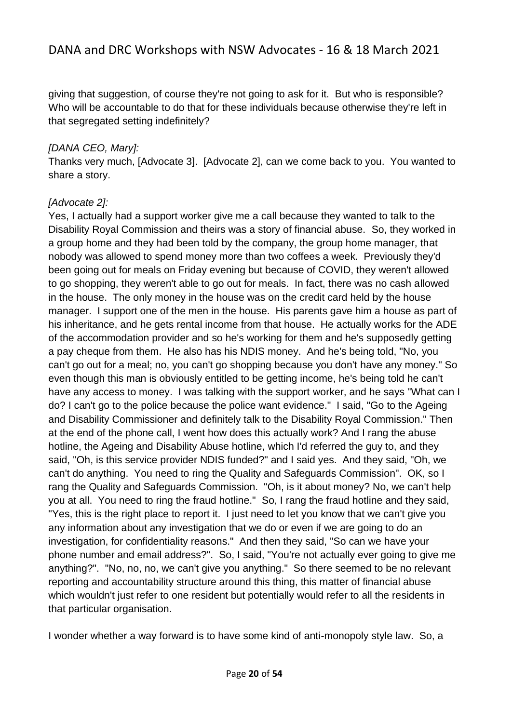giving that suggestion, of course they're not going to ask for it. But who is responsible? Who will be accountable to do that for these individuals because otherwise they're left in that segregated setting indefinitely?

### *[DANA CEO, Mary]:*

Thanks very much, [Advocate 3]. [Advocate 2], can we come back to you. You wanted to share a story.

### *[Advocate 2]:*

Yes, I actually had a support worker give me a call because they wanted to talk to the Disability Royal Commission and theirs was a story of financial abuse. So, they worked in a group home and they had been told by the company, the group home manager, that nobody was allowed to spend money more than two coffees a week. Previously they'd been going out for meals on Friday evening but because of COVID, they weren't allowed to go shopping, they weren't able to go out for meals. In fact, there was no cash allowed in the house. The only money in the house was on the credit card held by the house manager. I support one of the men in the house. His parents gave him a house as part of his inheritance, and he gets rental income from that house. He actually works for the ADE of the accommodation provider and so he's working for them and he's supposedly getting a pay cheque from them. He also has his NDIS money. And he's being told, "No, you can't go out for a meal; no, you can't go shopping because you don't have any money." So even though this man is obviously entitled to be getting income, he's being told he can't have any access to money. I was talking with the support worker, and he says "What can I do? I can't go to the police because the police want evidence." I said, "Go to the Ageing and Disability Commissioner and definitely talk to the Disability Royal Commission." Then at the end of the phone call, I went how does this actually work? And I rang the abuse hotline, the Ageing and Disability Abuse hotline, which I'd referred the guy to, and they said, "Oh, is this service provider NDIS funded?" and I said yes. And they said, "Oh, we can't do anything. You need to ring the Quality and Safeguards Commission". OK, so I rang the Quality and Safeguards Commission. "Oh, is it about money? No, we can't help you at all. You need to ring the fraud hotline." So, I rang the fraud hotline and they said, "Yes, this is the right place to report it. I just need to let you know that we can't give you any information about any investigation that we do or even if we are going to do an investigation, for confidentiality reasons." And then they said, "So can we have your phone number and email address?". So, I said, "You're not actually ever going to give me anything?". "No, no, no, we can't give you anything." So there seemed to be no relevant reporting and accountability structure around this thing, this matter of financial abuse which wouldn't just refer to one resident but potentially would refer to all the residents in that particular organisation.

I wonder whether a way forward is to have some kind of anti-monopoly style law. So, a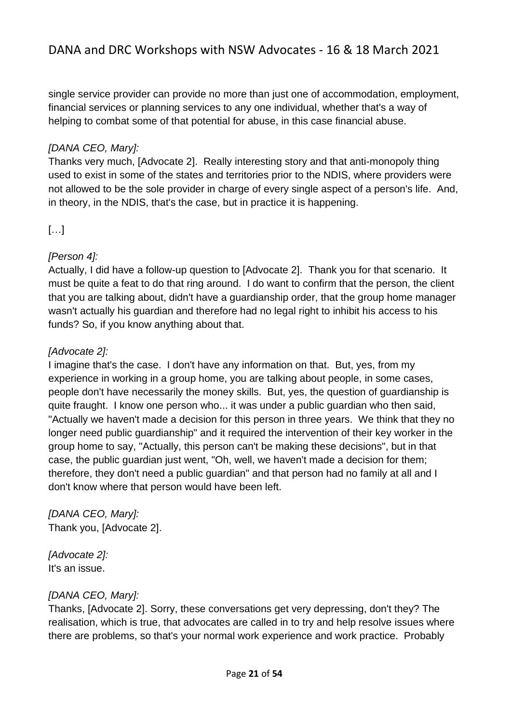single service provider can provide no more than just one of accommodation, employment, financial services or planning services to any one individual, whether that's a way of helping to combat some of that potential for abuse, in this case financial abuse.

## *[DANA CEO, Mary]:*

Thanks very much, [Advocate 2]. Really interesting story and that anti-monopoly thing used to exist in some of the states and territories prior to the NDIS, where providers were not allowed to be the sole provider in charge of every single aspect of a person's life. And, in theory, in the NDIS, that's the case, but in practice it is happening.

## […]

## *[Person 4]:*

Actually, I did have a follow-up question to [Advocate 2]. Thank you for that scenario. It must be quite a feat to do that ring around. I do want to confirm that the person, the client that you are talking about, didn't have a guardianship order, that the group home manager wasn't actually his guardian and therefore had no legal right to inhibit his access to his funds? So, if you know anything about that.

### *[Advocate 2]:*

I imagine that's the case. I don't have any information on that. But, yes, from my experience in working in a group home, you are talking about people, in some cases, people don't have necessarily the money skills. But, yes, the question of guardianship is quite fraught. I know one person who... it was under a public guardian who then said, "Actually we haven't made a decision for this person in three years. We think that they no longer need public guardianship" and it required the intervention of their key worker in the group home to say, "Actually, this person can't be making these decisions", but in that case, the public guardian just went, "Oh, well, we haven't made a decision for them; therefore, they don't need a public guardian" and that person had no family at all and I don't know where that person would have been left.

*[DANA CEO, Mary]:* Thank you, [Advocate 2].

*[Advocate 2]:*  It's an issue.

#### *[DANA CEO, Mary]:*

Thanks, [Advocate 2]. Sorry, these conversations get very depressing, don't they? The realisation, which is true, that advocates are called in to try and help resolve issues where there are problems, so that's your normal work experience and work practice. Probably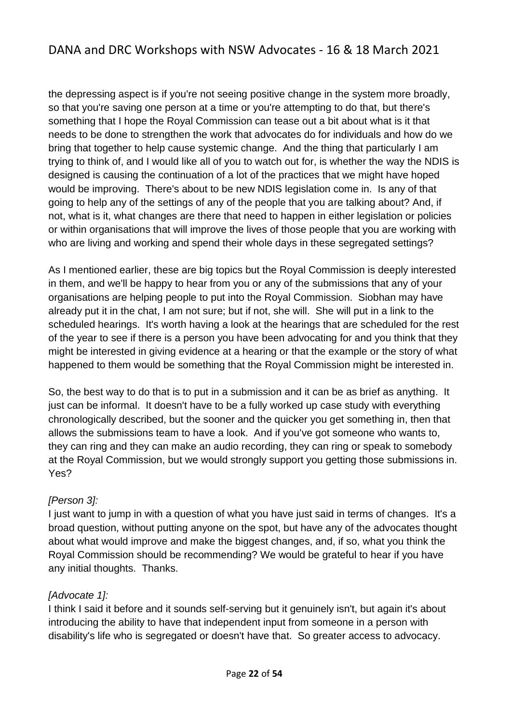the depressing aspect is if you're not seeing positive change in the system more broadly, so that you're saving one person at a time or you're attempting to do that, but there's something that I hope the Royal Commission can tease out a bit about what is it that needs to be done to strengthen the work that advocates do for individuals and how do we bring that together to help cause systemic change. And the thing that particularly I am trying to think of, and I would like all of you to watch out for, is whether the way the NDIS is designed is causing the continuation of a lot of the practices that we might have hoped would be improving. There's about to be new NDIS legislation come in. Is any of that going to help any of the settings of any of the people that you are talking about? And, if not, what is it, what changes are there that need to happen in either legislation or policies or within organisations that will improve the lives of those people that you are working with who are living and working and spend their whole days in these segregated settings?

As I mentioned earlier, these are big topics but the Royal Commission is deeply interested in them, and we'll be happy to hear from you or any of the submissions that any of your organisations are helping people to put into the Royal Commission. Siobhan may have already put it in the chat, I am not sure; but if not, she will. She will put in a link to the scheduled hearings. It's worth having a look at the hearings that are scheduled for the rest of the year to see if there is a person you have been advocating for and you think that they might be interested in giving evidence at a hearing or that the example or the story of what happened to them would be something that the Royal Commission might be interested in.

So, the best way to do that is to put in a submission and it can be as brief as anything. It just can be informal. It doesn't have to be a fully worked up case study with everything chronologically described, but the sooner and the quicker you get something in, then that allows the submissions team to have a look. And if you've got someone who wants to, they can ring and they can make an audio recording, they can ring or speak to somebody at the Royal Commission, but we would strongly support you getting those submissions in. Yes?

#### *[Person 3]:*

I just want to jump in with a question of what you have just said in terms of changes. It's a broad question, without putting anyone on the spot, but have any of the advocates thought about what would improve and make the biggest changes, and, if so, what you think the Royal Commission should be recommending? We would be grateful to hear if you have any initial thoughts. Thanks.

#### *[Advocate 1]:*

I think I said it before and it sounds self-serving but it genuinely isn't, but again it's about introducing the ability to have that independent input from someone in a person with disability's life who is segregated or doesn't have that. So greater access to advocacy.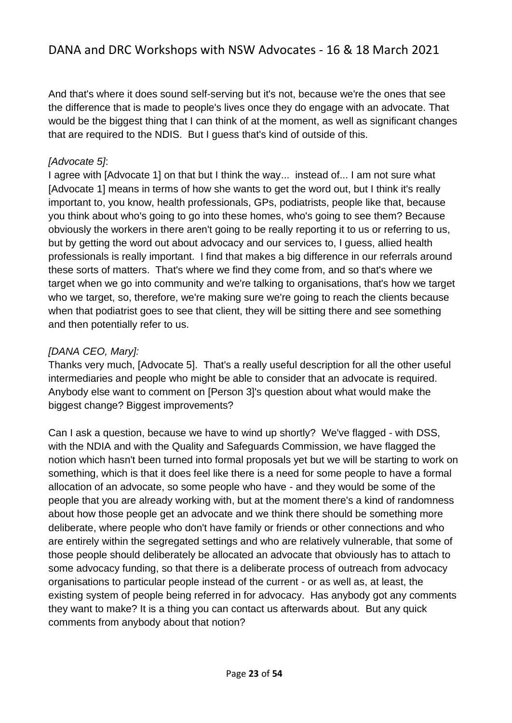And that's where it does sound self-serving but it's not, because we're the ones that see the difference that is made to people's lives once they do engage with an advocate. That would be the biggest thing that I can think of at the moment, as well as significant changes that are required to the NDIS. But I guess that's kind of outside of this.

#### *[Advocate 5]*:

I agree with [Advocate 1] on that but I think the way... instead of... I am not sure what [Advocate 1] means in terms of how she wants to get the word out, but I think it's really important to, you know, health professionals, GPs, podiatrists, people like that, because you think about who's going to go into these homes, who's going to see them? Because obviously the workers in there aren't going to be really reporting it to us or referring to us, but by getting the word out about advocacy and our services to, I guess, allied health professionals is really important. I find that makes a big difference in our referrals around these sorts of matters. That's where we find they come from, and so that's where we target when we go into community and we're talking to organisations, that's how we target who we target, so, therefore, we're making sure we're going to reach the clients because when that podiatrist goes to see that client, they will be sitting there and see something and then potentially refer to us.

### *[DANA CEO, Mary]:*

Thanks very much, [Advocate 5]. That's a really useful description for all the other useful intermediaries and people who might be able to consider that an advocate is required. Anybody else want to comment on [Person 3]'s question about what would make the biggest change? Biggest improvements?

Can I ask a question, because we have to wind up shortly? We've flagged - with DSS, with the NDIA and with the Quality and Safeguards Commission, we have flagged the notion which hasn't been turned into formal proposals yet but we will be starting to work on something, which is that it does feel like there is a need for some people to have a formal allocation of an advocate, so some people who have - and they would be some of the people that you are already working with, but at the moment there's a kind of randomness about how those people get an advocate and we think there should be something more deliberate, where people who don't have family or friends or other connections and who are entirely within the segregated settings and who are relatively vulnerable, that some of those people should deliberately be allocated an advocate that obviously has to attach to some advocacy funding, so that there is a deliberate process of outreach from advocacy organisations to particular people instead of the current - or as well as, at least, the existing system of people being referred in for advocacy. Has anybody got any comments they want to make? It is a thing you can contact us afterwards about. But any quick comments from anybody about that notion?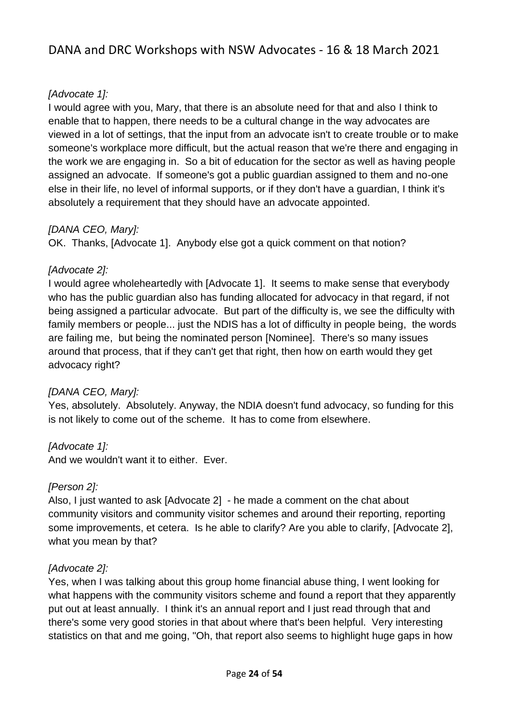## *[Advocate 1]:*

I would agree with you, Mary, that there is an absolute need for that and also I think to enable that to happen, there needs to be a cultural change in the way advocates are viewed in a lot of settings, that the input from an advocate isn't to create trouble or to make someone's workplace more difficult, but the actual reason that we're there and engaging in the work we are engaging in. So a bit of education for the sector as well as having people assigned an advocate. If someone's got a public guardian assigned to them and no-one else in their life, no level of informal supports, or if they don't have a guardian, I think it's absolutely a requirement that they should have an advocate appointed.

### *[DANA CEO, Mary]:*

OK. Thanks, [Advocate 1]. Anybody else got a quick comment on that notion?

#### *[Advocate 2]:*

I would agree wholeheartedly with [Advocate 1]. It seems to make sense that everybody who has the public guardian also has funding allocated for advocacy in that regard, if not being assigned a particular advocate. But part of the difficulty is, we see the difficulty with family members or people... just the NDIS has a lot of difficulty in people being, the words are failing me, but being the nominated person [Nominee]. There's so many issues around that process, that if they can't get that right, then how on earth would they get advocacy right?

#### *[DANA CEO, Mary]:*

Yes, absolutely. Absolutely. Anyway, the NDIA doesn't fund advocacy, so funding for this is not likely to come out of the scheme. It has to come from elsewhere.

#### *[Advocate 1]:*

And we wouldn't want it to either. Ever.

#### *[Person 2]:*

Also, I just wanted to ask [Advocate 2] - he made a comment on the chat about community visitors and community visitor schemes and around their reporting, reporting some improvements, et cetera. Is he able to clarify? Are you able to clarify, [Advocate 2], what you mean by that?

#### *[Advocate 2]:*

Yes, when I was talking about this group home financial abuse thing, I went looking for what happens with the community visitors scheme and found a report that they apparently put out at least annually. I think it's an annual report and I just read through that and there's some very good stories in that about where that's been helpful. Very interesting statistics on that and me going, "Oh, that report also seems to highlight huge gaps in how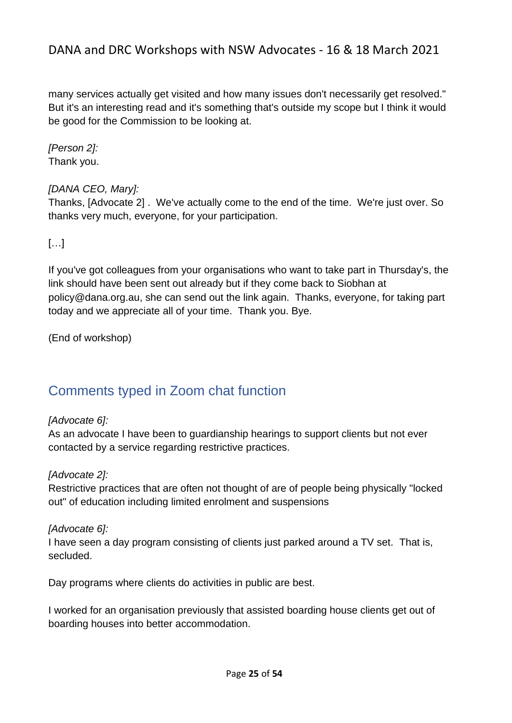many services actually get visited and how many issues don't necessarily get resolved." But it's an interesting read and it's something that's outside my scope but I think it would be good for the Commission to be looking at.

*[Person 2]:* Thank you.

## *[DANA CEO, Mary]:*

Thanks, [Advocate 2] . We've actually come to the end of the time. We're just over. So thanks very much, everyone, for your participation.

[…]

If you've got colleagues from your organisations who want to take part in Thursday's, the link should have been sent out already but if they come back to Siobhan at policy@dana.org.au, she can send out the link again. Thanks, everyone, for taking part today and we appreciate all of your time. Thank you. Bye.

(End of workshop)

# <span id="page-24-0"></span>Comments typed in Zoom chat function

## *[Advocate 6]:*

As an advocate I have been to guardianship hearings to support clients but not ever contacted by a service regarding restrictive practices.

## *[Advocate 2]:*

Restrictive practices that are often not thought of are of people being physically "locked out" of education including limited enrolment and suspensions

## *[Advocate 6]:*

I have seen a day program consisting of clients just parked around a TV set. That is, secluded.

Day programs where clients do activities in public are best.

I worked for an organisation previously that assisted boarding house clients get out of boarding houses into better accommodation.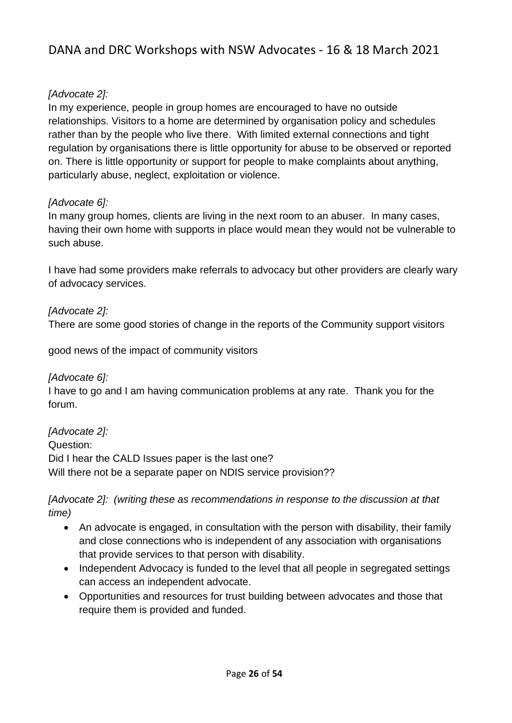## *[Advocate 2]:*

In my experience, people in group homes are encouraged to have no outside relationships. Visitors to a home are determined by organisation policy and schedules rather than by the people who live there. With limited external connections and tight regulation by organisations there is little opportunity for abuse to be observed or reported on. There is little opportunity or support for people to make complaints about anything, particularly abuse, neglect, exploitation or violence.

### *[Advocate 6]:*

In many group homes, clients are living in the next room to an abuser. In many cases, having their own home with supports in place would mean they would not be vulnerable to such abuse.

I have had some providers make referrals to advocacy but other providers are clearly wary of advocacy services.

## *[Advocate 2]:*

There are some good stories of change in the reports of the Community support visitors

good news of the impact of community visitors

#### *[Advocate 6]:*

I have to go and I am having communication problems at any rate. Thank you for the forum.

*[Advocate 2]:*  Question: Did I hear the CALD Issues paper is the last one? Will there not be a separate paper on NDIS service provision??

*[Advocate 2]: (writing these as recommendations in response to the discussion at that time)*

- An advocate is engaged, in consultation with the person with disability, their family and close connections who is independent of any association with organisations that provide services to that person with disability.
- Independent Advocacy is funded to the level that all people in segregated settings can access an independent advocate.
- Opportunities and resources for trust building between advocates and those that require them is provided and funded.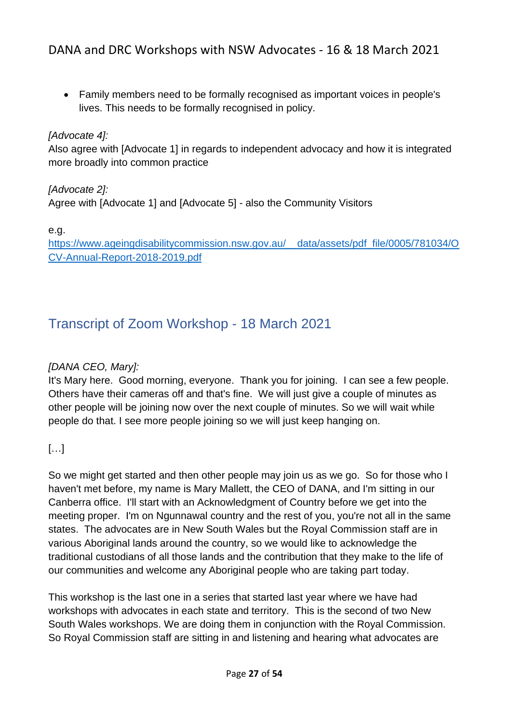• Family members need to be formally recognised as important voices in people's lives. This needs to be formally recognised in policy.

### *[Advocate 4]:*

Also agree with [Advocate 1] in regards to independent advocacy and how it is integrated more broadly into common practice

*[Advocate 2]:*  Agree with [Advocate 1] and [Advocate 5] - also the Community Visitors

e.g.

[https://www.ageingdisabilitycommission.nsw.gov.au/\\_\\_data/assets/pdf\\_file/0005/781034/O](https://www.ageingdisabilitycommission.nsw.gov.au/__data/assets/pdf_file/0005/781034/OCV-Annual-Report-2018-2019.pdf) [CV-Annual-Report-2018-2019.pdf](https://www.ageingdisabilitycommission.nsw.gov.au/__data/assets/pdf_file/0005/781034/OCV-Annual-Report-2018-2019.pdf)

# <span id="page-26-0"></span>Transcript of Zoom Workshop - 18 March 2021

### *[DANA CEO, Mary]:*

It's Mary here. Good morning, everyone. Thank you for joining. I can see a few people. Others have their cameras off and that's fine. We will just give a couple of minutes as other people will be joining now over the next couple of minutes. So we will wait while people do that. I see more people joining so we will just keep hanging on.

## […]

So we might get started and then other people may join us as we go. So for those who I haven't met before, my name is Mary Mallett, the CEO of DANA, and I'm sitting in our Canberra office. I'll start with an Acknowledgment of Country before we get into the meeting proper. I'm on Ngunnawal country and the rest of you, you're not all in the same states. The advocates are in New South Wales but the Royal Commission staff are in various Aboriginal lands around the country, so we would like to acknowledge the traditional custodians of all those lands and the contribution that they make to the life of our communities and welcome any Aboriginal people who are taking part today.

This workshop is the last one in a series that started last year where we have had workshops with advocates in each state and territory. This is the second of two New South Wales workshops. We are doing them in conjunction with the Royal Commission. So Royal Commission staff are sitting in and listening and hearing what advocates are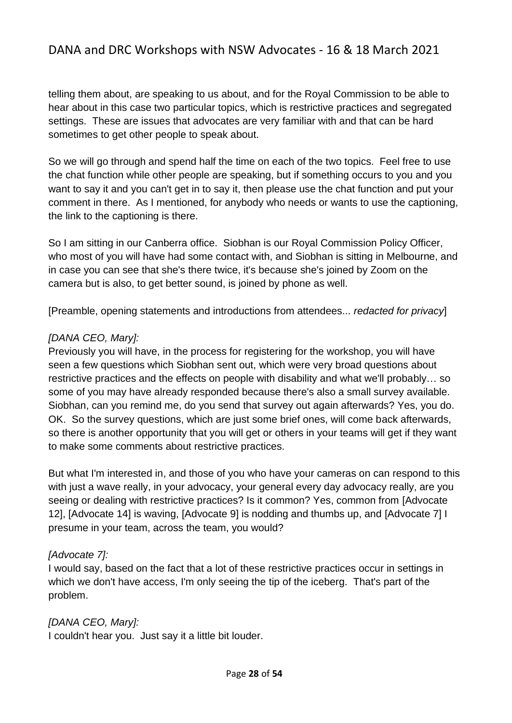telling them about, are speaking to us about, and for the Royal Commission to be able to hear about in this case two particular topics, which is restrictive practices and segregated settings. These are issues that advocates are very familiar with and that can be hard sometimes to get other people to speak about.

So we will go through and spend half the time on each of the two topics. Feel free to use the chat function while other people are speaking, but if something occurs to you and you want to say it and you can't get in to say it, then please use the chat function and put your comment in there. As I mentioned, for anybody who needs or wants to use the captioning, the link to the captioning is there.

So I am sitting in our Canberra office. Siobhan is our Royal Commission Policy Officer, who most of you will have had some contact with, and Siobhan is sitting in Melbourne, and in case you can see that she's there twice, it's because she's joined by Zoom on the camera but is also, to get better sound, is joined by phone as well.

[Preamble, opening statements and introductions from attendees... *redacted for privacy*]

#### *[DANA CEO, Mary]:*

Previously you will have, in the process for registering for the workshop, you will have seen a few questions which Siobhan sent out, which were very broad questions about restrictive practices and the effects on people with disability and what we'll probably… so some of you may have already responded because there's also a small survey available. Siobhan, can you remind me, do you send that survey out again afterwards? Yes, you do. OK. So the survey questions, which are just some brief ones, will come back afterwards, so there is another opportunity that you will get or others in your teams will get if they want to make some comments about restrictive practices.

But what I'm interested in, and those of you who have your cameras on can respond to this with just a wave really, in your advocacy, your general every day advocacy really, are you seeing or dealing with restrictive practices? Is it common? Yes, common from [Advocate 12], [Advocate 14] is waving, [Advocate 9] is nodding and thumbs up, and [Advocate 7] I presume in your team, across the team, you would?

#### *[Advocate 7]:*

I would say, based on the fact that a lot of these restrictive practices occur in settings in which we don't have access, I'm only seeing the tip of the iceberg. That's part of the problem.

*[DANA CEO, Mary]:* I couldn't hear you. Just say it a little bit louder.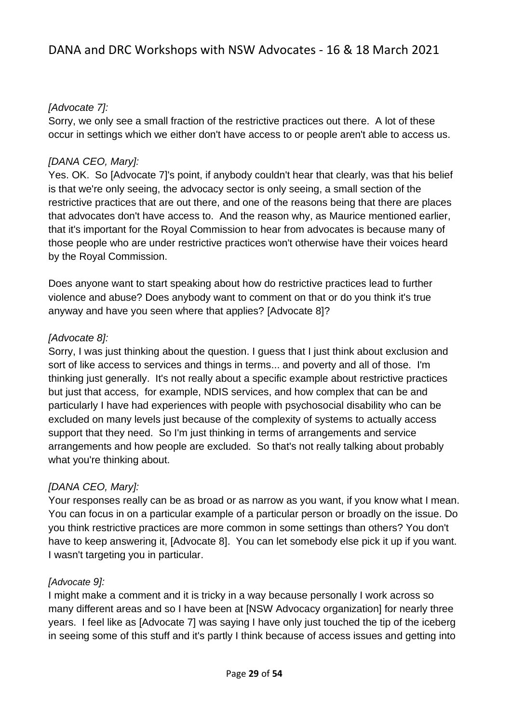## *[Advocate 7]:*

Sorry, we only see a small fraction of the restrictive practices out there. A lot of these occur in settings which we either don't have access to or people aren't able to access us.

### *[DANA CEO, Mary]:*

Yes. OK. So [Advocate 7]'s point, if anybody couldn't hear that clearly, was that his belief is that we're only seeing, the advocacy sector is only seeing, a small section of the restrictive practices that are out there, and one of the reasons being that there are places that advocates don't have access to. And the reason why, as Maurice mentioned earlier, that it's important for the Royal Commission to hear from advocates is because many of those people who are under restrictive practices won't otherwise have their voices heard by the Royal Commission.

Does anyone want to start speaking about how do restrictive practices lead to further violence and abuse? Does anybody want to comment on that or do you think it's true anyway and have you seen where that applies? [Advocate 8]?

### *[Advocate 8]:*

Sorry, I was just thinking about the question. I guess that I just think about exclusion and sort of like access to services and things in terms... and poverty and all of those. I'm thinking just generally. It's not really about a specific example about restrictive practices but just that access, for example, NDIS services, and how complex that can be and particularly I have had experiences with people with psychosocial disability who can be excluded on many levels just because of the complexity of systems to actually access support that they need. So I'm just thinking in terms of arrangements and service arrangements and how people are excluded. So that's not really talking about probably what you're thinking about.

#### *[DANA CEO, Mary]:*

Your responses really can be as broad or as narrow as you want, if you know what I mean. You can focus in on a particular example of a particular person or broadly on the issue. Do you think restrictive practices are more common in some settings than others? You don't have to keep answering it, [Advocate 8]. You can let somebody else pick it up if you want. I wasn't targeting you in particular.

#### *[Advocate 9]:*

I might make a comment and it is tricky in a way because personally I work across so many different areas and so I have been at [NSW Advocacy organization] for nearly three years. I feel like as [Advocate 7] was saying I have only just touched the tip of the iceberg in seeing some of this stuff and it's partly I think because of access issues and getting into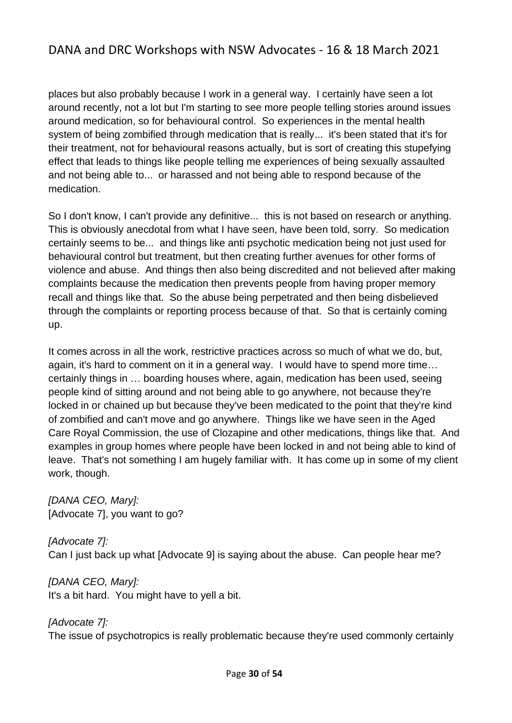places but also probably because I work in a general way. I certainly have seen a lot around recently, not a lot but I'm starting to see more people telling stories around issues around medication, so for behavioural control. So experiences in the mental health system of being zombified through medication that is really... it's been stated that it's for their treatment, not for behavioural reasons actually, but is sort of creating this stupefying effect that leads to things like people telling me experiences of being sexually assaulted and not being able to... or harassed and not being able to respond because of the medication.

So I don't know, I can't provide any definitive... this is not based on research or anything. This is obviously anecdotal from what I have seen, have been told, sorry. So medication certainly seems to be... and things like anti psychotic medication being not just used for behavioural control but treatment, but then creating further avenues for other forms of violence and abuse. And things then also being discredited and not believed after making complaints because the medication then prevents people from having proper memory recall and things like that. So the abuse being perpetrated and then being disbelieved through the complaints or reporting process because of that. So that is certainly coming up.

It comes across in all the work, restrictive practices across so much of what we do, but, again, it's hard to comment on it in a general way. I would have to spend more time… certainly things in … boarding houses where, again, medication has been used, seeing people kind of sitting around and not being able to go anywhere, not because they're locked in or chained up but because they've been medicated to the point that they're kind of zombified and can't move and go anywhere. Things like we have seen in the Aged Care Royal Commission, the use of Clozapine and other medications, things like that. And examples in group homes where people have been locked in and not being able to kind of leave. That's not something I am hugely familiar with. It has come up in some of my client work, though.

*[DANA CEO, Mary]:* [Advocate 7], you want to go?

*[Advocate 7]:*  Can I just back up what [Advocate 9] is saying about the abuse. Can people hear me?

*[DANA CEO, Mary]:* It's a bit hard. You might have to yell a bit.

*[Advocate 7]:*  The issue of psychotropics is really problematic because they're used commonly certainly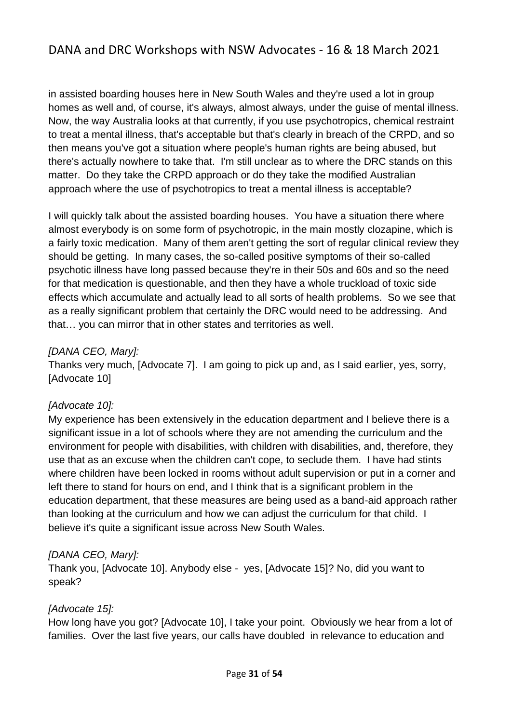in assisted boarding houses here in New South Wales and they're used a lot in group homes as well and, of course, it's always, almost always, under the guise of mental illness. Now, the way Australia looks at that currently, if you use psychotropics, chemical restraint to treat a mental illness, that's acceptable but that's clearly in breach of the CRPD, and so then means you've got a situation where people's human rights are being abused, but there's actually nowhere to take that. I'm still unclear as to where the DRC stands on this matter. Do they take the CRPD approach or do they take the modified Australian approach where the use of psychotropics to treat a mental illness is acceptable?

I will quickly talk about the assisted boarding houses. You have a situation there where almost everybody is on some form of psychotropic, in the main mostly clozapine, which is a fairly toxic medication. Many of them aren't getting the sort of regular clinical review they should be getting. In many cases, the so-called positive symptoms of their so-called psychotic illness have long passed because they're in their 50s and 60s and so the need for that medication is questionable, and then they have a whole truckload of toxic side effects which accumulate and actually lead to all sorts of health problems. So we see that as a really significant problem that certainly the DRC would need to be addressing. And that… you can mirror that in other states and territories as well.

#### *[DANA CEO, Mary]:*

Thanks very much, [Advocate 7]. I am going to pick up and, as I said earlier, yes, sorry, [Advocate 10]

## *[Advocate 10]:*

My experience has been extensively in the education department and I believe there is a significant issue in a lot of schools where they are not amending the curriculum and the environment for people with disabilities, with children with disabilities, and, therefore, they use that as an excuse when the children can't cope, to seclude them. I have had stints where children have been locked in rooms without adult supervision or put in a corner and left there to stand for hours on end, and I think that is a significant problem in the education department, that these measures are being used as a band-aid approach rather than looking at the curriculum and how we can adjust the curriculum for that child. I believe it's quite a significant issue across New South Wales.

## *[DANA CEO, Mary]:*

Thank you, [Advocate 10]. Anybody else - yes, [Advocate 15]? No, did you want to speak?

#### *[Advocate 15]:*

How long have you got? [Advocate 10], I take your point. Obviously we hear from a lot of families. Over the last five years, our calls have doubled in relevance to education and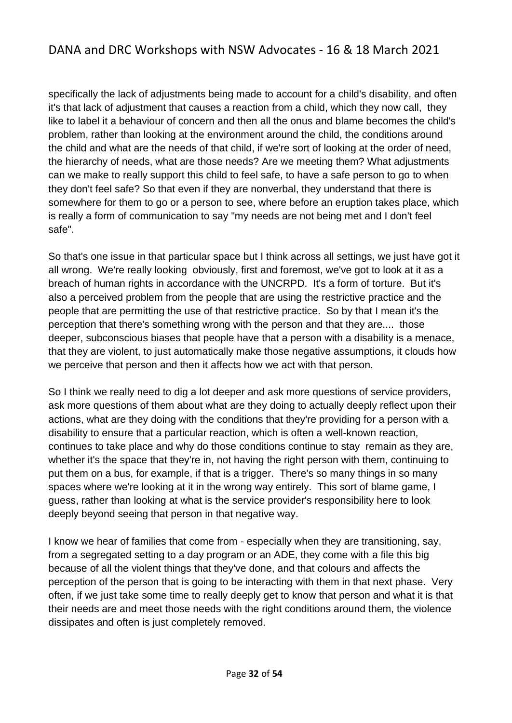specifically the lack of adjustments being made to account for a child's disability, and often it's that lack of adjustment that causes a reaction from a child, which they now call, they like to label it a behaviour of concern and then all the onus and blame becomes the child's problem, rather than looking at the environment around the child, the conditions around the child and what are the needs of that child, if we're sort of looking at the order of need, the hierarchy of needs, what are those needs? Are we meeting them? What adjustments can we make to really support this child to feel safe, to have a safe person to go to when they don't feel safe? So that even if they are nonverbal, they understand that there is somewhere for them to go or a person to see, where before an eruption takes place, which is really a form of communication to say "my needs are not being met and I don't feel safe".

So that's one issue in that particular space but I think across all settings, we just have got it all wrong. We're really looking obviously, first and foremost, we've got to look at it as a breach of human rights in accordance with the UNCRPD. It's a form of torture. But it's also a perceived problem from the people that are using the restrictive practice and the people that are permitting the use of that restrictive practice. So by that I mean it's the perception that there's something wrong with the person and that they are.... those deeper, subconscious biases that people have that a person with a disability is a menace, that they are violent, to just automatically make those negative assumptions, it clouds how we perceive that person and then it affects how we act with that person.

So I think we really need to dig a lot deeper and ask more questions of service providers, ask more questions of them about what are they doing to actually deeply reflect upon their actions, what are they doing with the conditions that they're providing for a person with a disability to ensure that a particular reaction, which is often a well-known reaction, continues to take place and why do those conditions continue to stay remain as they are, whether it's the space that they're in, not having the right person with them, continuing to put them on a bus, for example, if that is a trigger. There's so many things in so many spaces where we're looking at it in the wrong way entirely. This sort of blame game, I guess, rather than looking at what is the service provider's responsibility here to look deeply beyond seeing that person in that negative way.

I know we hear of families that come from - especially when they are transitioning, say, from a segregated setting to a day program or an ADE, they come with a file this big because of all the violent things that they've done, and that colours and affects the perception of the person that is going to be interacting with them in that next phase. Very often, if we just take some time to really deeply get to know that person and what it is that their needs are and meet those needs with the right conditions around them, the violence dissipates and often is just completely removed.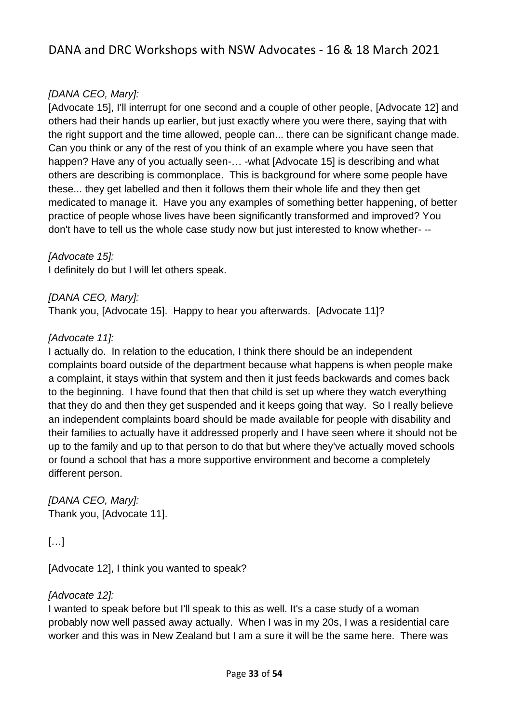## *[DANA CEO, Mary]:*

[Advocate 15], I'll interrupt for one second and a couple of other people, [Advocate 12] and others had their hands up earlier, but just exactly where you were there, saying that with the right support and the time allowed, people can... there can be significant change made. Can you think or any of the rest of you think of an example where you have seen that happen? Have any of you actually seen-... -what [Advocate 15] is describing and what others are describing is commonplace. This is background for where some people have these... they get labelled and then it follows them their whole life and they then get medicated to manage it. Have you any examples of something better happening, of better practice of people whose lives have been significantly transformed and improved? You don't have to tell us the whole case study now but just interested to know whether- --

*[Advocate 15]:* 

I definitely do but I will let others speak.

*[DANA CEO, Mary]:* Thank you, [Advocate 15]. Happy to hear you afterwards. [Advocate 11]?

#### *[Advocate 11]:*

I actually do. In relation to the education, I think there should be an independent complaints board outside of the department because what happens is when people make a complaint, it stays within that system and then it just feeds backwards and comes back to the beginning. I have found that then that child is set up where they watch everything that they do and then they get suspended and it keeps going that way. So I really believe an independent complaints board should be made available for people with disability and their families to actually have it addressed properly and I have seen where it should not be up to the family and up to that person to do that but where they've actually moved schools or found a school that has a more supportive environment and become a completely different person.

*[DANA CEO, Mary]:* Thank you, [Advocate 11].

## […]

[Advocate 12], I think you wanted to speak?

#### *[Advocate 12]:*

I wanted to speak before but I'll speak to this as well. It's a case study of a woman probably now well passed away actually. When I was in my 20s, I was a residential care worker and this was in New Zealand but I am a sure it will be the same here. There was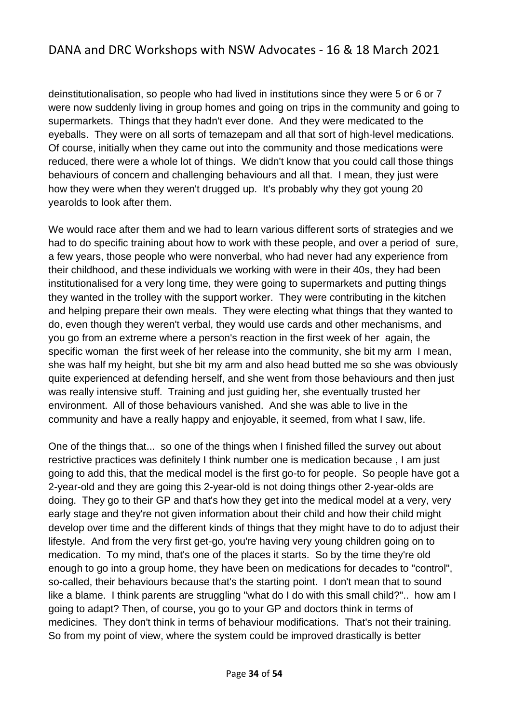deinstitutionalisation, so people who had lived in institutions since they were 5 or 6 or 7 were now suddenly living in group homes and going on trips in the community and going to supermarkets. Things that they hadn't ever done. And they were medicated to the eyeballs. They were on all sorts of temazepam and all that sort of high-level medications. Of course, initially when they came out into the community and those medications were reduced, there were a whole lot of things. We didn't know that you could call those things behaviours of concern and challenging behaviours and all that. I mean, they just were how they were when they weren't drugged up. It's probably why they got young 20 yearolds to look after them.

We would race after them and we had to learn various different sorts of strategies and we had to do specific training about how to work with these people, and over a period of sure, a few years, those people who were nonverbal, who had never had any experience from their childhood, and these individuals we working with were in their 40s, they had been institutionalised for a very long time, they were going to supermarkets and putting things they wanted in the trolley with the support worker. They were contributing in the kitchen and helping prepare their own meals. They were electing what things that they wanted to do, even though they weren't verbal, they would use cards and other mechanisms, and you go from an extreme where a person's reaction in the first week of her again, the specific woman the first week of her release into the community, she bit my arm I mean, she was half my height, but she bit my arm and also head butted me so she was obviously quite experienced at defending herself, and she went from those behaviours and then just was really intensive stuff. Training and just guiding her, she eventually trusted her environment. All of those behaviours vanished. And she was able to live in the community and have a really happy and enjoyable, it seemed, from what I saw, life.

One of the things that... so one of the things when I finished filled the survey out about restrictive practices was definitely I think number one is medication because , I am just going to add this, that the medical model is the first go-to for people. So people have got a 2-year-old and they are going this 2-year-old is not doing things other 2-year-olds are doing. They go to their GP and that's how they get into the medical model at a very, very early stage and they're not given information about their child and how their child might develop over time and the different kinds of things that they might have to do to adjust their lifestyle. And from the very first get-go, you're having very young children going on to medication. To my mind, that's one of the places it starts. So by the time they're old enough to go into a group home, they have been on medications for decades to "control", so-called, their behaviours because that's the starting point. I don't mean that to sound like a blame. I think parents are struggling "what do I do with this small child?".. how am I going to adapt? Then, of course, you go to your GP and doctors think in terms of medicines. They don't think in terms of behaviour modifications. That's not their training. So from my point of view, where the system could be improved drastically is better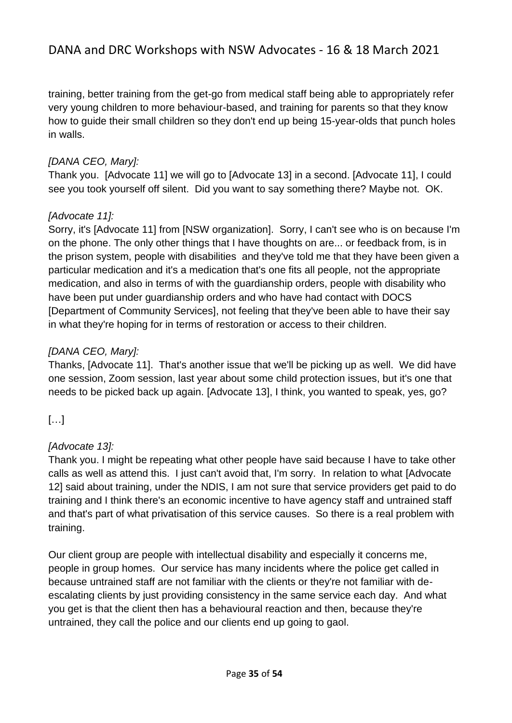training, better training from the get-go from medical staff being able to appropriately refer very young children to more behaviour-based, and training for parents so that they know how to guide their small children so they don't end up being 15-year-olds that punch holes in walls.

## *[DANA CEO, Mary]:*

Thank you. [Advocate 11] we will go to [Advocate 13] in a second. [Advocate 11], I could see you took yourself off silent. Did you want to say something there? Maybe not. OK.

## *[Advocate 11]:*

Sorry, it's [Advocate 11] from [NSW organization]. Sorry, I can't see who is on because I'm on the phone. The only other things that I have thoughts on are... or feedback from, is in the prison system, people with disabilities and they've told me that they have been given a particular medication and it's a medication that's one fits all people, not the appropriate medication, and also in terms of with the guardianship orders, people with disability who have been put under guardianship orders and who have had contact with DOCS [Department of Community Services], not feeling that they've been able to have their say in what they're hoping for in terms of restoration or access to their children.

## *[DANA CEO, Mary]:*

Thanks, [Advocate 11]. That's another issue that we'll be picking up as well. We did have one session, Zoom session, last year about some child protection issues, but it's one that needs to be picked back up again. [Advocate 13], I think, you wanted to speak, yes, go?

[…]

## *[Advocate 13]:*

Thank you. I might be repeating what other people have said because I have to take other calls as well as attend this. I just can't avoid that, I'm sorry. In relation to what [Advocate 12] said about training, under the NDIS, I am not sure that service providers get paid to do training and I think there's an economic incentive to have agency staff and untrained staff and that's part of what privatisation of this service causes. So there is a real problem with training.

Our client group are people with intellectual disability and especially it concerns me, people in group homes. Our service has many incidents where the police get called in because untrained staff are not familiar with the clients or they're not familiar with deescalating clients by just providing consistency in the same service each day. And what you get is that the client then has a behavioural reaction and then, because they're untrained, they call the police and our clients end up going to gaol.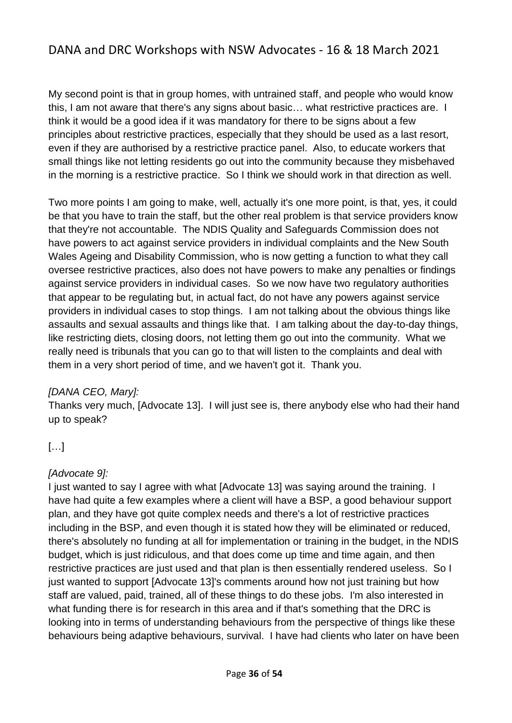My second point is that in group homes, with untrained staff, and people who would know this, I am not aware that there's any signs about basic… what restrictive practices are. I think it would be a good idea if it was mandatory for there to be signs about a few principles about restrictive practices, especially that they should be used as a last resort, even if they are authorised by a restrictive practice panel. Also, to educate workers that small things like not letting residents go out into the community because they misbehaved in the morning is a restrictive practice. So I think we should work in that direction as well.

Two more points I am going to make, well, actually it's one more point, is that, yes, it could be that you have to train the staff, but the other real problem is that service providers know that they're not accountable. The NDIS Quality and Safeguards Commission does not have powers to act against service providers in individual complaints and the New South Wales Ageing and Disability Commission, who is now getting a function to what they call oversee restrictive practices, also does not have powers to make any penalties or findings against service providers in individual cases. So we now have two regulatory authorities that appear to be regulating but, in actual fact, do not have any powers against service providers in individual cases to stop things. I am not talking about the obvious things like assaults and sexual assaults and things like that. I am talking about the day-to-day things, like restricting diets, closing doors, not letting them go out into the community. What we really need is tribunals that you can go to that will listen to the complaints and deal with them in a very short period of time, and we haven't got it. Thank you.

#### *[DANA CEO, Mary]:*

Thanks very much, [Advocate 13]. I will just see is, there anybody else who had their hand up to speak?

## […]

#### *[Advocate 9]:*

I just wanted to say I agree with what [Advocate 13] was saying around the training. I have had quite a few examples where a client will have a BSP, a good behaviour support plan, and they have got quite complex needs and there's a lot of restrictive practices including in the BSP, and even though it is stated how they will be eliminated or reduced, there's absolutely no funding at all for implementation or training in the budget, in the NDIS budget, which is just ridiculous, and that does come up time and time again, and then restrictive practices are just used and that plan is then essentially rendered useless. So I just wanted to support [Advocate 13]'s comments around how not just training but how staff are valued, paid, trained, all of these things to do these jobs. I'm also interested in what funding there is for research in this area and if that's something that the DRC is looking into in terms of understanding behaviours from the perspective of things like these behaviours being adaptive behaviours, survival. I have had clients who later on have been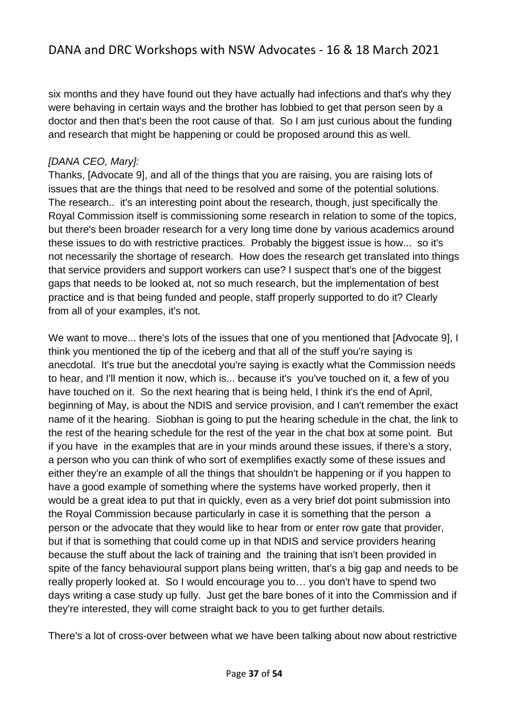six months and they have found out they have actually had infections and that's why they were behaving in certain ways and the brother has lobbied to get that person seen by a doctor and then that's been the root cause of that. So I am just curious about the funding and research that might be happening or could be proposed around this as well.

#### *[DANA CEO, Mary]:*

Thanks, [Advocate 9], and all of the things that you are raising, you are raising lots of issues that are the things that need to be resolved and some of the potential solutions. The research.. it's an interesting point about the research, though, just specifically the Royal Commission itself is commissioning some research in relation to some of the topics, but there's been broader research for a very long time done by various academics around these issues to do with restrictive practices. Probably the biggest issue is how... so it's not necessarily the shortage of research. How does the research get translated into things that service providers and support workers can use? I suspect that's one of the biggest gaps that needs to be looked at, not so much research, but the implementation of best practice and is that being funded and people, staff properly supported to do it? Clearly from all of your examples, it's not.

We want to move... there's lots of the issues that one of you mentioned that [Advocate 9], I think you mentioned the tip of the iceberg and that all of the stuff you're saying is anecdotal. It's true but the anecdotal you're saying is exactly what the Commission needs to hear, and I'll mention it now, which is... because it's you've touched on it, a few of you have touched on it. So the next hearing that is being held, I think it's the end of April, beginning of May, is about the NDIS and service provision, and I can't remember the exact name of it the hearing. Siobhan is going to put the hearing schedule in the chat, the link to the rest of the hearing schedule for the rest of the year in the chat box at some point. But if you have in the examples that are in your minds around these issues, if there's a story, a person who you can think of who sort of exemplifies exactly some of these issues and either they're an example of all the things that shouldn't be happening or if you happen to have a good example of something where the systems have worked properly, then it would be a great idea to put that in quickly, even as a very brief dot point submission into the Royal Commission because particularly in case it is something that the person a person or the advocate that they would like to hear from or enter row gate that provider, but if that is something that could come up in that NDIS and service providers hearing because the stuff about the lack of training and the training that isn't been provided in spite of the fancy behavioural support plans being written, that's a big gap and needs to be really properly looked at. So I would encourage you to… you don't have to spend two days writing a case study up fully. Just get the bare bones of it into the Commission and if they're interested, they will come straight back to you to get further details.

There's a lot of cross-over between what we have been talking about now about restrictive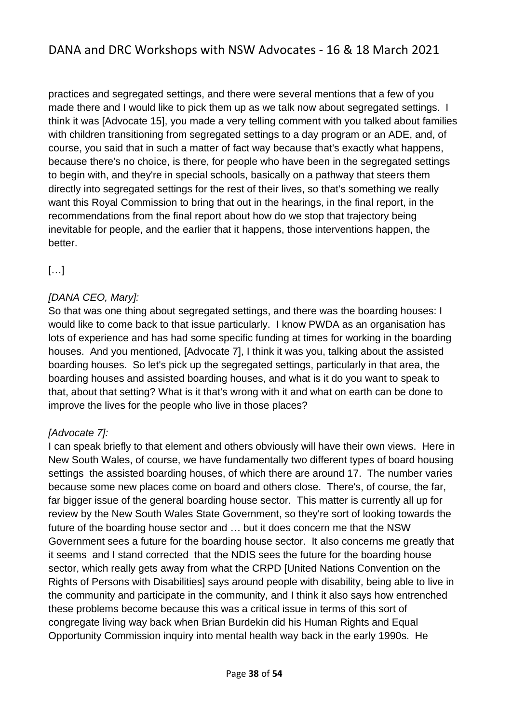practices and segregated settings, and there were several mentions that a few of you made there and I would like to pick them up as we talk now about segregated settings. I think it was [Advocate 15], you made a very telling comment with you talked about families with children transitioning from segregated settings to a day program or an ADE, and, of course, you said that in such a matter of fact way because that's exactly what happens, because there's no choice, is there, for people who have been in the segregated settings to begin with, and they're in special schools, basically on a pathway that steers them directly into segregated settings for the rest of their lives, so that's something we really want this Royal Commission to bring that out in the hearings, in the final report, in the recommendations from the final report about how do we stop that trajectory being inevitable for people, and the earlier that it happens, those interventions happen, the better.

[…]

## *[DANA CEO, Mary]:*

So that was one thing about segregated settings, and there was the boarding houses: I would like to come back to that issue particularly. I know PWDA as an organisation has lots of experience and has had some specific funding at times for working in the boarding houses. And you mentioned, [Advocate 7], I think it was you, talking about the assisted boarding houses. So let's pick up the segregated settings, particularly in that area, the boarding houses and assisted boarding houses, and what is it do you want to speak to that, about that setting? What is it that's wrong with it and what on earth can be done to improve the lives for the people who live in those places?

#### *[Advocate 7]:*

I can speak briefly to that element and others obviously will have their own views. Here in New South Wales, of course, we have fundamentally two different types of board housing settings the assisted boarding houses, of which there are around 17. The number varies because some new places come on board and others close. There's, of course, the far, far bigger issue of the general boarding house sector. This matter is currently all up for review by the New South Wales State Government, so they're sort of looking towards the future of the boarding house sector and … but it does concern me that the NSW Government sees a future for the boarding house sector. It also concerns me greatly that it seems and I stand corrected that the NDIS sees the future for the boarding house sector, which really gets away from what the CRPD [United Nations Convention on the Rights of Persons with Disabilities] says around people with disability, being able to live in the community and participate in the community, and I think it also says how entrenched these problems become because this was a critical issue in terms of this sort of congregate living way back when Brian Burdekin did his Human Rights and Equal Opportunity Commission inquiry into mental health way back in the early 1990s. He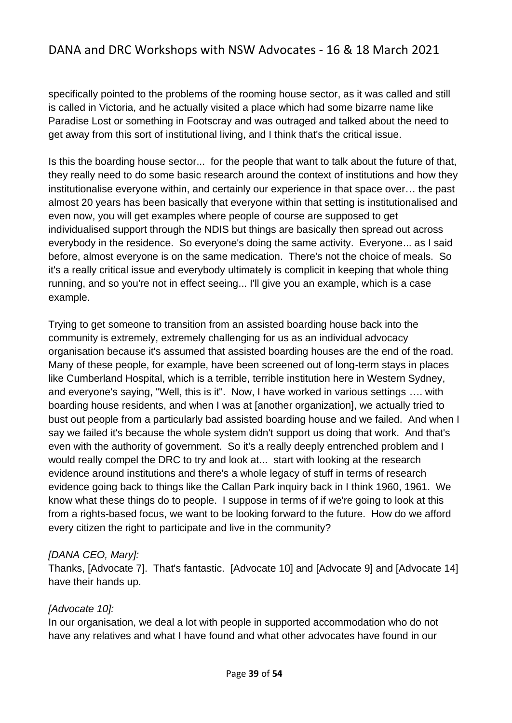specifically pointed to the problems of the rooming house sector, as it was called and still is called in Victoria, and he actually visited a place which had some bizarre name like Paradise Lost or something in Footscray and was outraged and talked about the need to get away from this sort of institutional living, and I think that's the critical issue.

Is this the boarding house sector... for the people that want to talk about the future of that, they really need to do some basic research around the context of institutions and how they institutionalise everyone within, and certainly our experience in that space over… the past almost 20 years has been basically that everyone within that setting is institutionalised and even now, you will get examples where people of course are supposed to get individualised support through the NDIS but things are basically then spread out across everybody in the residence. So everyone's doing the same activity. Everyone... as I said before, almost everyone is on the same medication. There's not the choice of meals. So it's a really critical issue and everybody ultimately is complicit in keeping that whole thing running, and so you're not in effect seeing... I'll give you an example, which is a case example.

Trying to get someone to transition from an assisted boarding house back into the community is extremely, extremely challenging for us as an individual advocacy organisation because it's assumed that assisted boarding houses are the end of the road. Many of these people, for example, have been screened out of long-term stays in places like Cumberland Hospital, which is a terrible, terrible institution here in Western Sydney, and everyone's saying, "Well, this is it". Now, I have worked in various settings …. with boarding house residents, and when I was at [another organization], we actually tried to bust out people from a particularly bad assisted boarding house and we failed. And when I say we failed it's because the whole system didn't support us doing that work. And that's even with the authority of government. So it's a really deeply entrenched problem and I would really compel the DRC to try and look at... start with looking at the research evidence around institutions and there's a whole legacy of stuff in terms of research evidence going back to things like the Callan Park inquiry back in I think 1960, 1961. We know what these things do to people. I suppose in terms of if we're going to look at this from a rights-based focus, we want to be looking forward to the future. How do we afford every citizen the right to participate and live in the community?

#### *[DANA CEO, Mary]:*

Thanks, [Advocate 7]. That's fantastic. [Advocate 10] and [Advocate 9] and [Advocate 14] have their hands up.

#### *[Advocate 10]:*

In our organisation, we deal a lot with people in supported accommodation who do not have any relatives and what I have found and what other advocates have found in our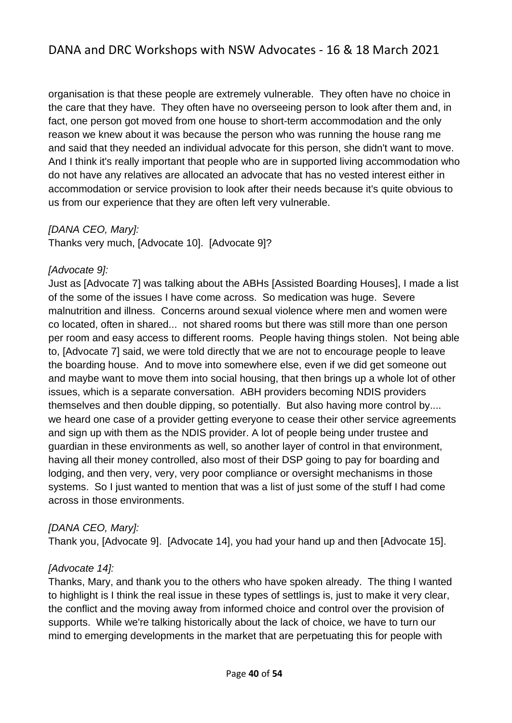organisation is that these people are extremely vulnerable. They often have no choice in the care that they have. They often have no overseeing person to look after them and, in fact, one person got moved from one house to short-term accommodation and the only reason we knew about it was because the person who was running the house rang me and said that they needed an individual advocate for this person, she didn't want to move. And I think it's really important that people who are in supported living accommodation who do not have any relatives are allocated an advocate that has no vested interest either in accommodation or service provision to look after their needs because it's quite obvious to us from our experience that they are often left very vulnerable.

#### *[DANA CEO, Mary]:*

Thanks very much, [Advocate 10]. [Advocate 9]?

#### *[Advocate 9]:*

Just as [Advocate 7] was talking about the ABHs [Assisted Boarding Houses], I made a list of the some of the issues I have come across. So medication was huge. Severe malnutrition and illness. Concerns around sexual violence where men and women were co located, often in shared... not shared rooms but there was still more than one person per room and easy access to different rooms. People having things stolen. Not being able to, [Advocate 7] said, we were told directly that we are not to encourage people to leave the boarding house. And to move into somewhere else, even if we did get someone out and maybe want to move them into social housing, that then brings up a whole lot of other issues, which is a separate conversation. ABH providers becoming NDIS providers themselves and then double dipping, so potentially. But also having more control by.... we heard one case of a provider getting everyone to cease their other service agreements and sign up with them as the NDIS provider. A lot of people being under trustee and guardian in these environments as well, so another layer of control in that environment, having all their money controlled, also most of their DSP going to pay for boarding and lodging, and then very, very, very poor compliance or oversight mechanisms in those systems. So I just wanted to mention that was a list of just some of the stuff I had come across in those environments.

#### *[DANA CEO, Mary]:*

Thank you, [Advocate 9]. [Advocate 14], you had your hand up and then [Advocate 15].

#### *[Advocate 14]:*

Thanks, Mary, and thank you to the others who have spoken already. The thing I wanted to highlight is I think the real issue in these types of settlings is, just to make it very clear, the conflict and the moving away from informed choice and control over the provision of supports. While we're talking historically about the lack of choice, we have to turn our mind to emerging developments in the market that are perpetuating this for people with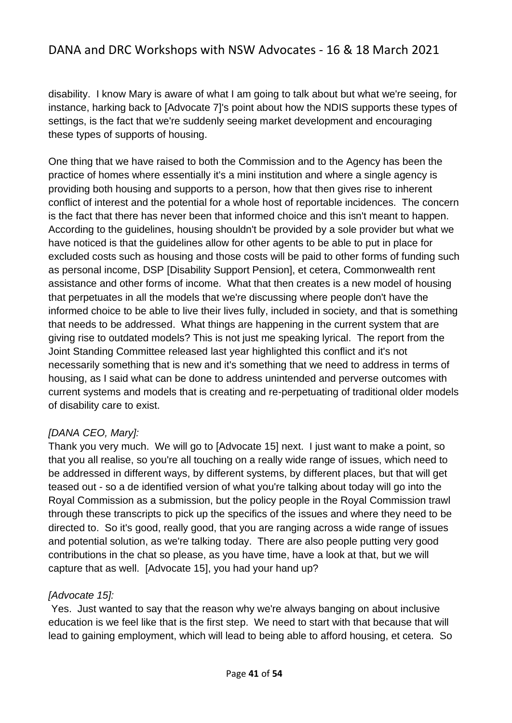disability. I know Mary is aware of what I am going to talk about but what we're seeing, for instance, harking back to [Advocate 7]'s point about how the NDIS supports these types of settings, is the fact that we're suddenly seeing market development and encouraging these types of supports of housing.

One thing that we have raised to both the Commission and to the Agency has been the practice of homes where essentially it's a mini institution and where a single agency is providing both housing and supports to a person, how that then gives rise to inherent conflict of interest and the potential for a whole host of reportable incidences. The concern is the fact that there has never been that informed choice and this isn't meant to happen. According to the guidelines, housing shouldn't be provided by a sole provider but what we have noticed is that the guidelines allow for other agents to be able to put in place for excluded costs such as housing and those costs will be paid to other forms of funding such as personal income, DSP [Disability Support Pension], et cetera, Commonwealth rent assistance and other forms of income. What that then creates is a new model of housing that perpetuates in all the models that we're discussing where people don't have the informed choice to be able to live their lives fully, included in society, and that is something that needs to be addressed. What things are happening in the current system that are giving rise to outdated models? This is not just me speaking lyrical. The report from the Joint Standing Committee released last year highlighted this conflict and it's not necessarily something that is new and it's something that we need to address in terms of housing, as I said what can be done to address unintended and perverse outcomes with current systems and models that is creating and re-perpetuating of traditional older models of disability care to exist.

#### *[DANA CEO, Mary]:*

Thank you very much. We will go to [Advocate 15] next. I just want to make a point, so that you all realise, so you're all touching on a really wide range of issues, which need to be addressed in different ways, by different systems, by different places, but that will get teased out - so a de identified version of what you're talking about today will go into the Royal Commission as a submission, but the policy people in the Royal Commission trawl through these transcripts to pick up the specifics of the issues and where they need to be directed to. So it's good, really good, that you are ranging across a wide range of issues and potential solution, as we're talking today. There are also people putting very good contributions in the chat so please, as you have time, have a look at that, but we will capture that as well. [Advocate 15], you had your hand up?

#### *[Advocate 15]:*

Yes. Just wanted to say that the reason why we're always banging on about inclusive education is we feel like that is the first step. We need to start with that because that will lead to gaining employment, which will lead to being able to afford housing, et cetera. So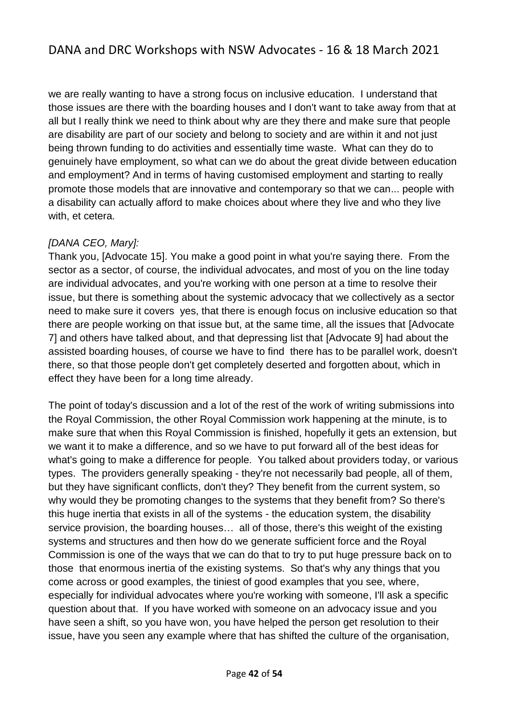we are really wanting to have a strong focus on inclusive education. I understand that those issues are there with the boarding houses and I don't want to take away from that at all but I really think we need to think about why are they there and make sure that people are disability are part of our society and belong to society and are within it and not just being thrown funding to do activities and essentially time waste. What can they do to genuinely have employment, so what can we do about the great divide between education and employment? And in terms of having customised employment and starting to really promote those models that are innovative and contemporary so that we can... people with a disability can actually afford to make choices about where they live and who they live with, et cetera.

#### *[DANA CEO, Mary]:*

Thank you, [Advocate 15]. You make a good point in what you're saying there. From the sector as a sector, of course, the individual advocates, and most of you on the line today are individual advocates, and you're working with one person at a time to resolve their issue, but there is something about the systemic advocacy that we collectively as a sector need to make sure it covers yes, that there is enough focus on inclusive education so that there are people working on that issue but, at the same time, all the issues that [Advocate 7] and others have talked about, and that depressing list that [Advocate 9] had about the assisted boarding houses, of course we have to find there has to be parallel work, doesn't there, so that those people don't get completely deserted and forgotten about, which in effect they have been for a long time already.

The point of today's discussion and a lot of the rest of the work of writing submissions into the Royal Commission, the other Royal Commission work happening at the minute, is to make sure that when this Royal Commission is finished, hopefully it gets an extension, but we want it to make a difference, and so we have to put forward all of the best ideas for what's going to make a difference for people. You talked about providers today, or various types. The providers generally speaking - they're not necessarily bad people, all of them, but they have significant conflicts, don't they? They benefit from the current system, so why would they be promoting changes to the systems that they benefit from? So there's this huge inertia that exists in all of the systems - the education system, the disability service provision, the boarding houses… all of those, there's this weight of the existing systems and structures and then how do we generate sufficient force and the Royal Commission is one of the ways that we can do that to try to put huge pressure back on to those that enormous inertia of the existing systems. So that's why any things that you come across or good examples, the tiniest of good examples that you see, where, especially for individual advocates where you're working with someone, I'll ask a specific question about that. If you have worked with someone on an advocacy issue and you have seen a shift, so you have won, you have helped the person get resolution to their issue, have you seen any example where that has shifted the culture of the organisation,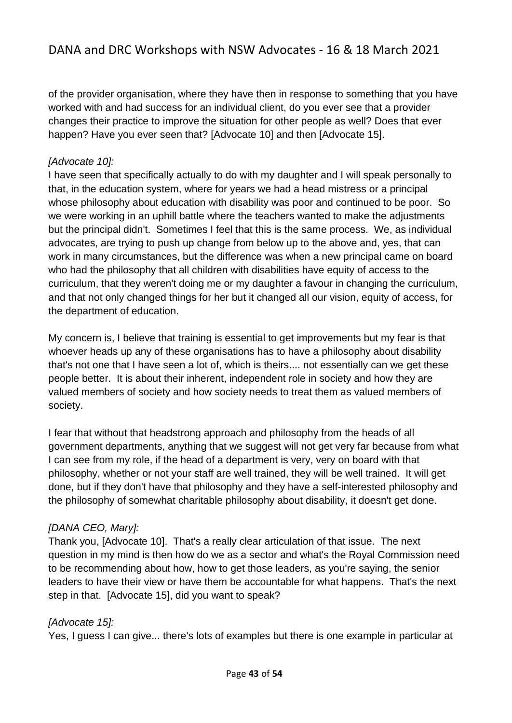of the provider organisation, where they have then in response to something that you have worked with and had success for an individual client, do you ever see that a provider changes their practice to improve the situation for other people as well? Does that ever happen? Have you ever seen that? [Advocate 10] and then [Advocate 15].

#### *[Advocate 10]:*

I have seen that specifically actually to do with my daughter and I will speak personally to that, in the education system, where for years we had a head mistress or a principal whose philosophy about education with disability was poor and continued to be poor. So we were working in an uphill battle where the teachers wanted to make the adjustments but the principal didn't. Sometimes I feel that this is the same process. We, as individual advocates, are trying to push up change from below up to the above and, yes, that can work in many circumstances, but the difference was when a new principal came on board who had the philosophy that all children with disabilities have equity of access to the curriculum, that they weren't doing me or my daughter a favour in changing the curriculum, and that not only changed things for her but it changed all our vision, equity of access, for the department of education.

My concern is, I believe that training is essential to get improvements but my fear is that whoever heads up any of these organisations has to have a philosophy about disability that's not one that I have seen a lot of, which is theirs.... not essentially can we get these people better. It is about their inherent, independent role in society and how they are valued members of society and how society needs to treat them as valued members of society.

I fear that without that headstrong approach and philosophy from the heads of all government departments, anything that we suggest will not get very far because from what I can see from my role, if the head of a department is very, very on board with that philosophy, whether or not your staff are well trained, they will be well trained. It will get done, but if they don't have that philosophy and they have a self-interested philosophy and the philosophy of somewhat charitable philosophy about disability, it doesn't get done.

#### *[DANA CEO, Mary]:*

Thank you, [Advocate 10]. That's a really clear articulation of that issue. The next question in my mind is then how do we as a sector and what's the Royal Commission need to be recommending about how, how to get those leaders, as you're saying, the senior leaders to have their view or have them be accountable for what happens. That's the next step in that. [Advocate 15], did you want to speak?

#### *[Advocate 15]:*

Yes, I guess I can give... there's lots of examples but there is one example in particular at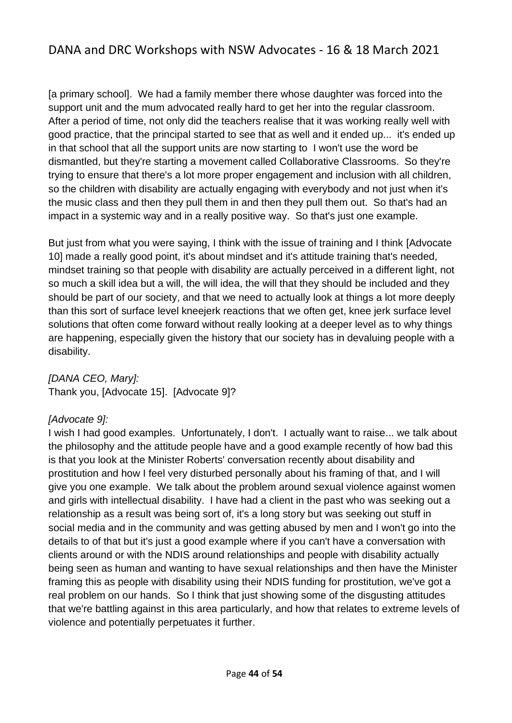[a primary school]. We had a family member there whose daughter was forced into the support unit and the mum advocated really hard to get her into the regular classroom. After a period of time, not only did the teachers realise that it was working really well with good practice, that the principal started to see that as well and it ended up... it's ended up in that school that all the support units are now starting to I won't use the word be dismantled, but they're starting a movement called Collaborative Classrooms. So they're trying to ensure that there's a lot more proper engagement and inclusion with all children, so the children with disability are actually engaging with everybody and not just when it's the music class and then they pull them in and then they pull them out. So that's had an impact in a systemic way and in a really positive way. So that's just one example.

But just from what you were saying, I think with the issue of training and I think [Advocate 10] made a really good point, it's about mindset and it's attitude training that's needed, mindset training so that people with disability are actually perceived in a different light, not so much a skill idea but a will, the will idea, the will that they should be included and they should be part of our society, and that we need to actually look at things a lot more deeply than this sort of surface level kneejerk reactions that we often get, knee jerk surface level solutions that often come forward without really looking at a deeper level as to why things are happening, especially given the history that our society has in devaluing people with a disability.

*[DANA CEO, Mary]:* Thank you, [Advocate 15]. [Advocate 9]?

#### *[Advocate 9]:*

I wish I had good examples. Unfortunately, I don't. I actually want to raise... we talk about the philosophy and the attitude people have and a good example recently of how bad this is that you look at the Minister Roberts' conversation recently about disability and prostitution and how I feel very disturbed personally about his framing of that, and I will give you one example. We talk about the problem around sexual violence against women and girls with intellectual disability. I have had a client in the past who was seeking out a relationship as a result was being sort of, it's a long story but was seeking out stuff in social media and in the community and was getting abused by men and I won't go into the details to of that but it's just a good example where if you can't have a conversation with clients around or with the NDIS around relationships and people with disability actually being seen as human and wanting to have sexual relationships and then have the Minister framing this as people with disability using their NDIS funding for prostitution, we've got a real problem on our hands. So I think that just showing some of the disgusting attitudes that we're battling against in this area particularly, and how that relates to extreme levels of violence and potentially perpetuates it further.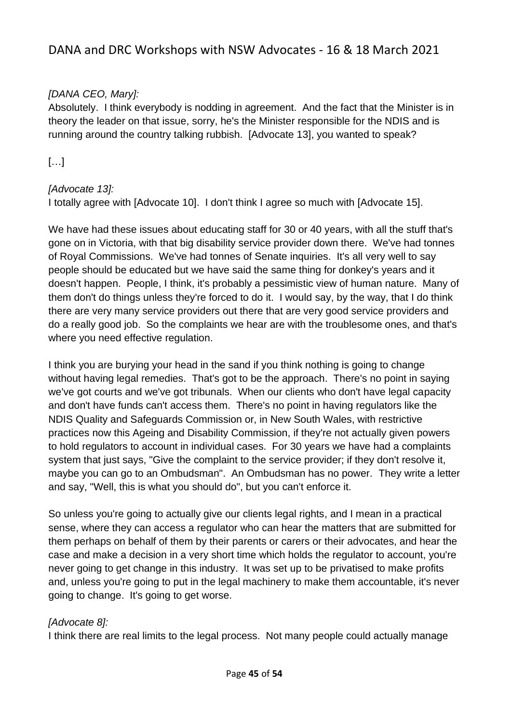### *[DANA CEO, Mary]:*

Absolutely. I think everybody is nodding in agreement. And the fact that the Minister is in theory the leader on that issue, sorry, he's the Minister responsible for the NDIS and is running around the country talking rubbish. [Advocate 13], you wanted to speak?

## […]

### *[Advocate 13]:*

I totally agree with [Advocate 10]. I don't think I agree so much with [Advocate 15].

We have had these issues about educating staff for 30 or 40 years, with all the stuff that's gone on in Victoria, with that big disability service provider down there. We've had tonnes of Royal Commissions. We've had tonnes of Senate inquiries. It's all very well to say people should be educated but we have said the same thing for donkey's years and it doesn't happen. People, I think, it's probably a pessimistic view of human nature. Many of them don't do things unless they're forced to do it. I would say, by the way, that I do think there are very many service providers out there that are very good service providers and do a really good job. So the complaints we hear are with the troublesome ones, and that's where you need effective regulation.

I think you are burying your head in the sand if you think nothing is going to change without having legal remedies. That's got to be the approach. There's no point in saying we've got courts and we've got tribunals. When our clients who don't have legal capacity and don't have funds can't access them. There's no point in having regulators like the NDIS Quality and Safeguards Commission or, in New South Wales, with restrictive practices now this Ageing and Disability Commission, if they're not actually given powers to hold regulators to account in individual cases. For 30 years we have had a complaints system that just says, "Give the complaint to the service provider; if they don't resolve it, maybe you can go to an Ombudsman". An Ombudsman has no power. They write a letter and say, "Well, this is what you should do", but you can't enforce it.

So unless you're going to actually give our clients legal rights, and I mean in a practical sense, where they can access a regulator who can hear the matters that are submitted for them perhaps on behalf of them by their parents or carers or their advocates, and hear the case and make a decision in a very short time which holds the regulator to account, you're never going to get change in this industry. It was set up to be privatised to make profits and, unless you're going to put in the legal machinery to make them accountable, it's never going to change. It's going to get worse.

#### *[Advocate 8]:*

I think there are real limits to the legal process. Not many people could actually manage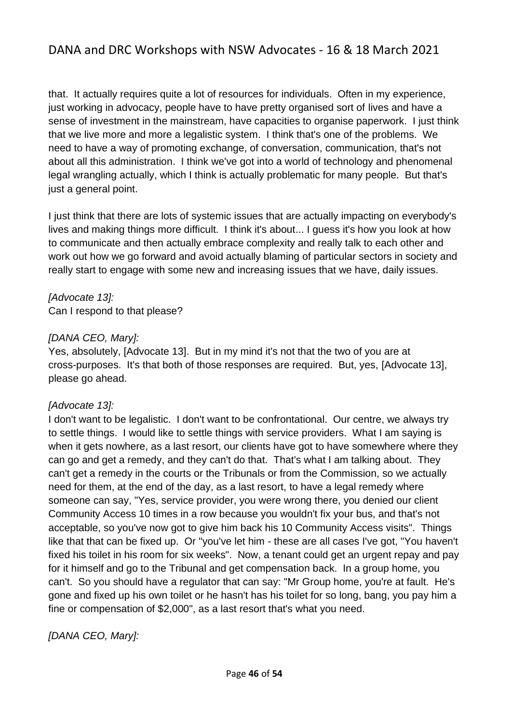that. It actually requires quite a lot of resources for individuals. Often in my experience, just working in advocacy, people have to have pretty organised sort of lives and have a sense of investment in the mainstream, have capacities to organise paperwork. I just think that we live more and more a legalistic system. I think that's one of the problems. We need to have a way of promoting exchange, of conversation, communication, that's not about all this administration. I think we've got into a world of technology and phenomenal legal wrangling actually, which I think is actually problematic for many people. But that's just a general point.

I just think that there are lots of systemic issues that are actually impacting on everybody's lives and making things more difficult. I think it's about... I guess it's how you look at how to communicate and then actually embrace complexity and really talk to each other and work out how we go forward and avoid actually blaming of particular sectors in society and really start to engage with some new and increasing issues that we have, daily issues.

*[Advocate 13]:*  Can I respond to that please?

#### *[DANA CEO, Mary]:*

Yes, absolutely, [Advocate 13]. But in my mind it's not that the two of you are at cross-purposes. It's that both of those responses are required. But, yes, [Advocate 13], please go ahead.

#### *[Advocate 13]:*

I don't want to be legalistic. I don't want to be confrontational. Our centre, we always try to settle things. I would like to settle things with service providers. What I am saying is when it gets nowhere, as a last resort, our clients have got to have somewhere where they can go and get a remedy, and they can't do that. That's what I am talking about. They can't get a remedy in the courts or the Tribunals or from the Commission, so we actually need for them, at the end of the day, as a last resort, to have a legal remedy where someone can say, "Yes, service provider, you were wrong there, you denied our client Community Access 10 times in a row because you wouldn't fix your bus, and that's not acceptable, so you've now got to give him back his 10 Community Access visits". Things like that that can be fixed up. Or "you've let him - these are all cases I've got, "You haven't fixed his toilet in his room for six weeks". Now, a tenant could get an urgent repay and pay for it himself and go to the Tribunal and get compensation back. In a group home, you can't. So you should have a regulator that can say: "Mr Group home, you're at fault. He's gone and fixed up his own toilet or he hasn't has his toilet for so long, bang, you pay him a fine or compensation of \$2,000", as a last resort that's what you need.

*[DANA CEO, Mary]:*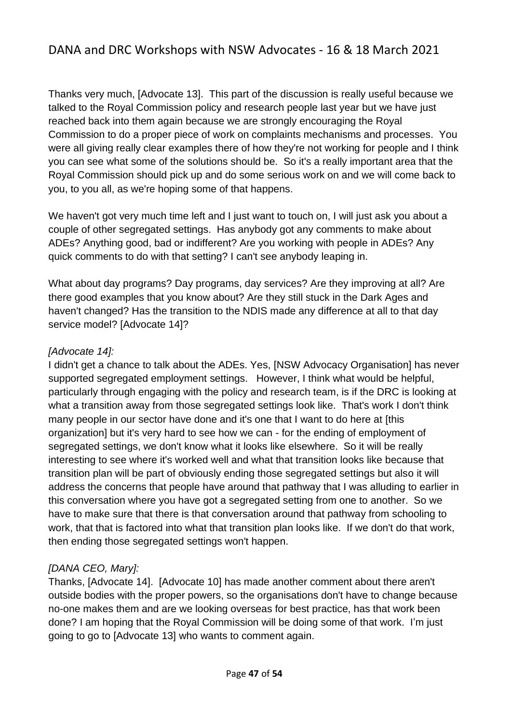Thanks very much, [Advocate 13]. This part of the discussion is really useful because we talked to the Royal Commission policy and research people last year but we have just reached back into them again because we are strongly encouraging the Royal Commission to do a proper piece of work on complaints mechanisms and processes. You were all giving really clear examples there of how they're not working for people and I think you can see what some of the solutions should be. So it's a really important area that the Royal Commission should pick up and do some serious work on and we will come back to you, to you all, as we're hoping some of that happens.

We haven't got very much time left and I just want to touch on, I will just ask you about a couple of other segregated settings. Has anybody got any comments to make about ADEs? Anything good, bad or indifferent? Are you working with people in ADEs? Any quick comments to do with that setting? I can't see anybody leaping in.

What about day programs? Day programs, day services? Are they improving at all? Are there good examples that you know about? Are they still stuck in the Dark Ages and haven't changed? Has the transition to the NDIS made any difference at all to that day service model? [Advocate 14]?

### *[Advocate 14]:*

I didn't get a chance to talk about the ADEs. Yes, [NSW Advocacy Organisation] has never supported segregated employment settings. However, I think what would be helpful, particularly through engaging with the policy and research team, is if the DRC is looking at what a transition away from those segregated settings look like. That's work I don't think many people in our sector have done and it's one that I want to do here at [this organization] but it's very hard to see how we can - for the ending of employment of segregated settings, we don't know what it looks like elsewhere. So it will be really interesting to see where it's worked well and what that transition looks like because that transition plan will be part of obviously ending those segregated settings but also it will address the concerns that people have around that pathway that I was alluding to earlier in this conversation where you have got a segregated setting from one to another. So we have to make sure that there is that conversation around that pathway from schooling to work, that that is factored into what that transition plan looks like. If we don't do that work, then ending those segregated settings won't happen.

## *[DANA CEO, Mary]:*

Thanks, [Advocate 14]. [Advocate 10] has made another comment about there aren't outside bodies with the proper powers, so the organisations don't have to change because no-one makes them and are we looking overseas for best practice, has that work been done? I am hoping that the Royal Commission will be doing some of that work. I'm just going to go to [Advocate 13] who wants to comment again.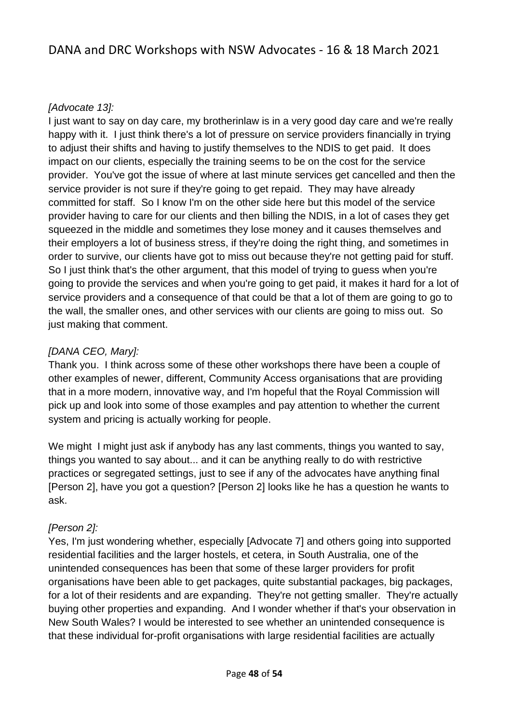## *[Advocate 13]:*

I just want to say on day care, my brotherinlaw is in a very good day care and we're really happy with it. I just think there's a lot of pressure on service providers financially in trying to adjust their shifts and having to justify themselves to the NDIS to get paid. It does impact on our clients, especially the training seems to be on the cost for the service provider. You've got the issue of where at last minute services get cancelled and then the service provider is not sure if they're going to get repaid. They may have already committed for staff. So I know I'm on the other side here but this model of the service provider having to care for our clients and then billing the NDIS, in a lot of cases they get squeezed in the middle and sometimes they lose money and it causes themselves and their employers a lot of business stress, if they're doing the right thing, and sometimes in order to survive, our clients have got to miss out because they're not getting paid for stuff. So I just think that's the other argument, that this model of trying to guess when you're going to provide the services and when you're going to get paid, it makes it hard for a lot of service providers and a consequence of that could be that a lot of them are going to go to the wall, the smaller ones, and other services with our clients are going to miss out. So just making that comment.

### *[DANA CEO, Mary]:*

Thank you. I think across some of these other workshops there have been a couple of other examples of newer, different, Community Access organisations that are providing that in a more modern, innovative way, and I'm hopeful that the Royal Commission will pick up and look into some of those examples and pay attention to whether the current system and pricing is actually working for people.

We might I might just ask if anybody has any last comments, things you wanted to say, things you wanted to say about... and it can be anything really to do with restrictive practices or segregated settings, just to see if any of the advocates have anything final [Person 2], have you got a question? [Person 2] looks like he has a question he wants to ask.

#### *[Person 2]:*

Yes, I'm just wondering whether, especially [Advocate 7] and others going into supported residential facilities and the larger hostels, et cetera, in South Australia, one of the unintended consequences has been that some of these larger providers for profit organisations have been able to get packages, quite substantial packages, big packages, for a lot of their residents and are expanding. They're not getting smaller. They're actually buying other properties and expanding. And I wonder whether if that's your observation in New South Wales? I would be interested to see whether an unintended consequence is that these individual for-profit organisations with large residential facilities are actually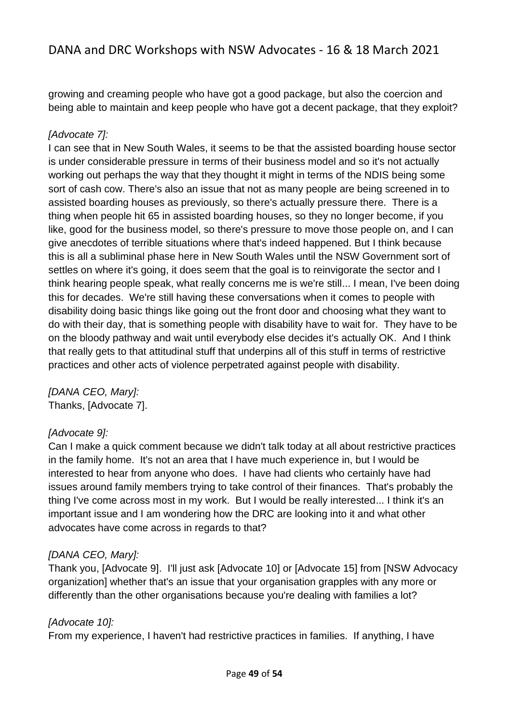growing and creaming people who have got a good package, but also the coercion and being able to maintain and keep people who have got a decent package, that they exploit?

### *[Advocate 7]:*

I can see that in New South Wales, it seems to be that the assisted boarding house sector is under considerable pressure in terms of their business model and so it's not actually working out perhaps the way that they thought it might in terms of the NDIS being some sort of cash cow. There's also an issue that not as many people are being screened in to assisted boarding houses as previously, so there's actually pressure there. There is a thing when people hit 65 in assisted boarding houses, so they no longer become, if you like, good for the business model, so there's pressure to move those people on, and I can give anecdotes of terrible situations where that's indeed happened. But I think because this is all a subliminal phase here in New South Wales until the NSW Government sort of settles on where it's going, it does seem that the goal is to reinvigorate the sector and I think hearing people speak, what really concerns me is we're still... I mean, I've been doing this for decades. We're still having these conversations when it comes to people with disability doing basic things like going out the front door and choosing what they want to do with their day, that is something people with disability have to wait for. They have to be on the bloody pathway and wait until everybody else decides it's actually OK. And I think that really gets to that attitudinal stuff that underpins all of this stuff in terms of restrictive practices and other acts of violence perpetrated against people with disability.

*[DANA CEO, Mary]:* Thanks, [Advocate 7].

#### *[Advocate 9]:*

Can I make a quick comment because we didn't talk today at all about restrictive practices in the family home. It's not an area that I have much experience in, but I would be interested to hear from anyone who does. I have had clients who certainly have had issues around family members trying to take control of their finances. That's probably the thing I've come across most in my work. But I would be really interested... I think it's an important issue and I am wondering how the DRC are looking into it and what other advocates have come across in regards to that?

#### *[DANA CEO, Mary]:*

Thank you, [Advocate 9]. I'll just ask [Advocate 10] or [Advocate 15] from [NSW Advocacy organization] whether that's an issue that your organisation grapples with any more or differently than the other organisations because you're dealing with families a lot?

#### *[Advocate 10]:*

From my experience, I haven't had restrictive practices in families. If anything, I have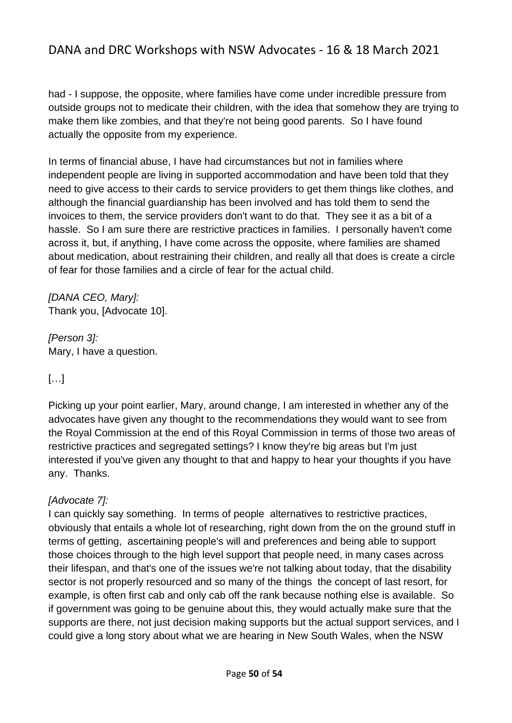had - I suppose, the opposite, where families have come under incredible pressure from outside groups not to medicate their children, with the idea that somehow they are trying to make them like zombies, and that they're not being good parents. So I have found actually the opposite from my experience.

In terms of financial abuse, I have had circumstances but not in families where independent people are living in supported accommodation and have been told that they need to give access to their cards to service providers to get them things like clothes, and although the financial guardianship has been involved and has told them to send the invoices to them, the service providers don't want to do that. They see it as a bit of a hassle. So I am sure there are restrictive practices in families. I personally haven't come across it, but, if anything, I have come across the opposite, where families are shamed about medication, about restraining their children, and really all that does is create a circle of fear for those families and a circle of fear for the actual child.

*[DANA CEO, Mary]:* Thank you, [Advocate 10].

*[Person 3]:* Mary, I have a question.

## […]

Picking up your point earlier, Mary, around change, I am interested in whether any of the advocates have given any thought to the recommendations they would want to see from the Royal Commission at the end of this Royal Commission in terms of those two areas of restrictive practices and segregated settings? I know they're big areas but I'm just interested if you've given any thought to that and happy to hear your thoughts if you have any. Thanks.

#### *[Advocate 7]:*

I can quickly say something. In terms of people alternatives to restrictive practices, obviously that entails a whole lot of researching, right down from the on the ground stuff in terms of getting, ascertaining people's will and preferences and being able to support those choices through to the high level support that people need, in many cases across their lifespan, and that's one of the issues we're not talking about today, that the disability sector is not properly resourced and so many of the things the concept of last resort, for example, is often first cab and only cab off the rank because nothing else is available. So if government was going to be genuine about this, they would actually make sure that the supports are there, not just decision making supports but the actual support services, and I could give a long story about what we are hearing in New South Wales, when the NSW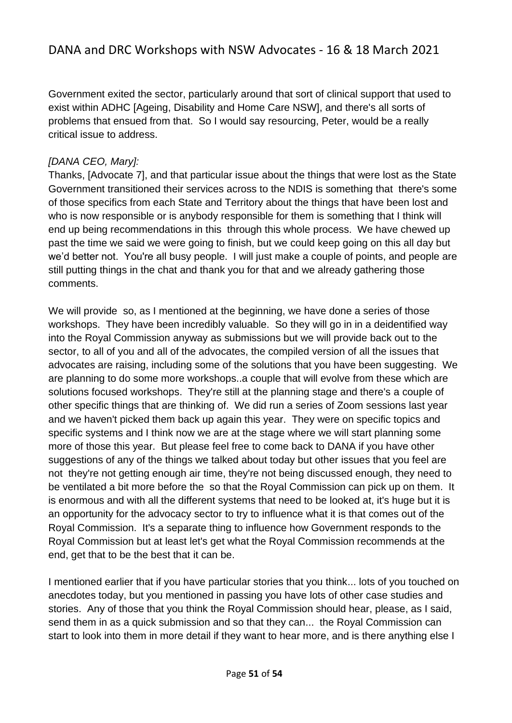Government exited the sector, particularly around that sort of clinical support that used to exist within ADHC [Ageing, Disability and Home Care NSW], and there's all sorts of problems that ensued from that. So I would say resourcing, Peter, would be a really critical issue to address.

#### *[DANA CEO, Mary]:*

Thanks, [Advocate 7], and that particular issue about the things that were lost as the State Government transitioned their services across to the NDIS is something that there's some of those specifics from each State and Territory about the things that have been lost and who is now responsible or is anybody responsible for them is something that I think will end up being recommendations in this through this whole process. We have chewed up past the time we said we were going to finish, but we could keep going on this all day but we'd better not. You're all busy people. I will just make a couple of points, and people are still putting things in the chat and thank you for that and we already gathering those comments.

We will provide so, as I mentioned at the beginning, we have done a series of those workshops. They have been incredibly valuable. So they will go in in a deidentified way into the Royal Commission anyway as submissions but we will provide back out to the sector, to all of you and all of the advocates, the compiled version of all the issues that advocates are raising, including some of the solutions that you have been suggesting. We are planning to do some more workshops..a couple that will evolve from these which are solutions focused workshops. They're still at the planning stage and there's a couple of other specific things that are thinking of. We did run a series of Zoom sessions last year and we haven't picked them back up again this year. They were on specific topics and specific systems and I think now we are at the stage where we will start planning some more of those this year. But please feel free to come back to DANA if you have other suggestions of any of the things we talked about today but other issues that you feel are not they're not getting enough air time, they're not being discussed enough, they need to be ventilated a bit more before the so that the Royal Commission can pick up on them. It is enormous and with all the different systems that need to be looked at, it's huge but it is an opportunity for the advocacy sector to try to influence what it is that comes out of the Royal Commission. It's a separate thing to influence how Government responds to the Royal Commission but at least let's get what the Royal Commission recommends at the end, get that to be the best that it can be.

I mentioned earlier that if you have particular stories that you think... lots of you touched on anecdotes today, but you mentioned in passing you have lots of other case studies and stories. Any of those that you think the Royal Commission should hear, please, as I said, send them in as a quick submission and so that they can... the Royal Commission can start to look into them in more detail if they want to hear more, and is there anything else I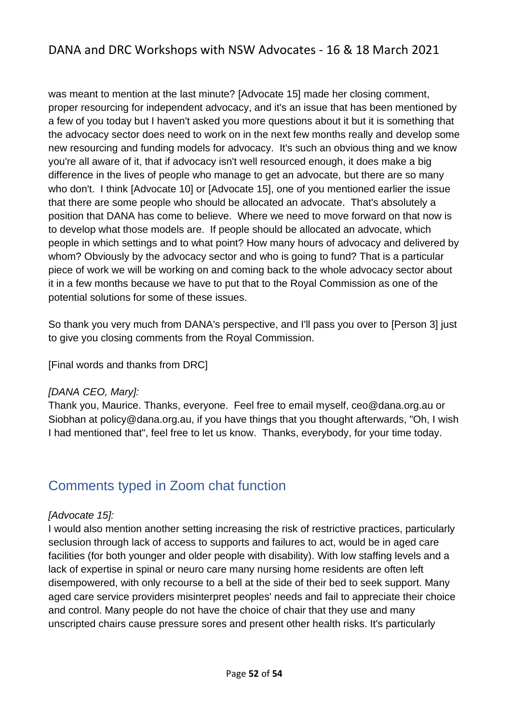was meant to mention at the last minute? [Advocate 15] made her closing comment, proper resourcing for independent advocacy, and it's an issue that has been mentioned by a few of you today but I haven't asked you more questions about it but it is something that the advocacy sector does need to work on in the next few months really and develop some new resourcing and funding models for advocacy. It's such an obvious thing and we know you're all aware of it, that if advocacy isn't well resourced enough, it does make a big difference in the lives of people who manage to get an advocate, but there are so many who don't. I think [Advocate 10] or [Advocate 15], one of you mentioned earlier the issue that there are some people who should be allocated an advocate. That's absolutely a position that DANA has come to believe. Where we need to move forward on that now is to develop what those models are. If people should be allocated an advocate, which people in which settings and to what point? How many hours of advocacy and delivered by whom? Obviously by the advocacy sector and who is going to fund? That is a particular piece of work we will be working on and coming back to the whole advocacy sector about it in a few months because we have to put that to the Royal Commission as one of the potential solutions for some of these issues.

So thank you very much from DANA's perspective, and I'll pass you over to [Person 3] just to give you closing comments from the Royal Commission.

[Final words and thanks from DRC]

#### *[DANA CEO, Mary]:*

Thank you, Maurice. Thanks, everyone. Feel free to email myself, ceo@dana.org.au or Siobhan at policy@dana.org.au, if you have things that you thought afterwards, "Oh, I wish I had mentioned that", feel free to let us know. Thanks, everybody, for your time today.

# <span id="page-51-0"></span>Comments typed in Zoom chat function

#### *[Advocate 15]:*

I would also mention another setting increasing the risk of restrictive practices, particularly seclusion through lack of access to supports and failures to act, would be in aged care facilities (for both younger and older people with disability). With low staffing levels and a lack of expertise in spinal or neuro care many nursing home residents are often left disempowered, with only recourse to a bell at the side of their bed to seek support. Many aged care service providers misinterpret peoples' needs and fail to appreciate their choice and control. Many people do not have the choice of chair that they use and many unscripted chairs cause pressure sores and present other health risks. It's particularly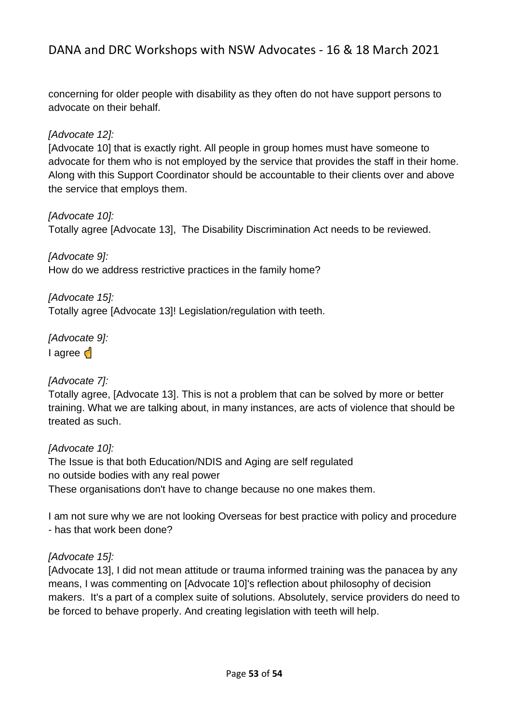concerning for older people with disability as they often do not have support persons to advocate on their behalf.

### *[Advocate 12]:*

[Advocate 10] that is exactly right. All people in group homes must have someone to advocate for them who is not employed by the service that provides the staff in their home. Along with this Support Coordinator should be accountable to their clients over and above the service that employs them.

#### *[Advocate 10]:*

Totally agree [Advocate 13], The Disability Discrimination Act needs to be reviewed.

*[Advocate 9]:*  How do we address restrictive practices in the family home?

*[Advocate 15]:*  Totally agree [Advocate 13]! Legislation/regulation with teeth.

*[Advocate 9]:*  l agree d

#### *[Advocate 7]:*

Totally agree, [Advocate 13]. This is not a problem that can be solved by more or better training. What we are talking about, in many instances, are acts of violence that should be treated as such.

#### *[Advocate 10]:*

The Issue is that both Education/NDIS and Aging are self regulated no outside bodies with any real power These organisations don't have to change because no one makes them.

I am not sure why we are not looking Overseas for best practice with policy and procedure - has that work been done?

#### *[Advocate 15]:*

[Advocate 13], I did not mean attitude or trauma informed training was the panacea by any means, I was commenting on [Advocate 10]'s reflection about philosophy of decision makers. It's a part of a complex suite of solutions. Absolutely, service providers do need to be forced to behave properly. And creating legislation with teeth will help.